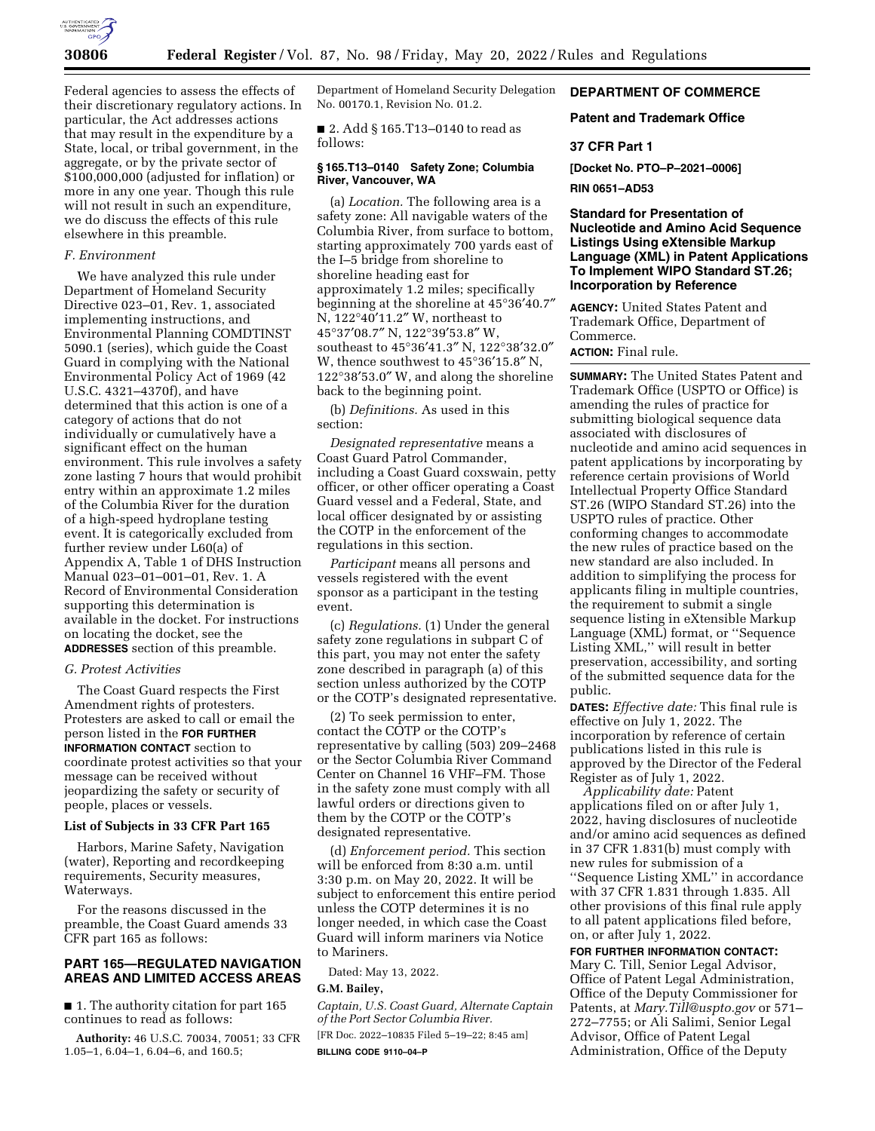

Federal agencies to assess the effects of their discretionary regulatory actions. In particular, the Act addresses actions that may result in the expenditure by a State, local, or tribal government, in the aggregate, or by the private sector of \$100,000,000 (adjusted for inflation) or more in any one year. Though this rule will not result in such an expenditure, we do discuss the effects of this rule elsewhere in this preamble.

# *F. Environment*

We have analyzed this rule under Department of Homeland Security Directive 023–01, Rev. 1, associated implementing instructions, and Environmental Planning COMDTINST 5090.1 (series), which guide the Coast Guard in complying with the National Environmental Policy Act of 1969 (42 U.S.C. 4321–4370f), and have determined that this action is one of a category of actions that do not individually or cumulatively have a significant effect on the human environment. This rule involves a safety zone lasting 7 hours that would prohibit entry within an approximate 1.2 miles of the Columbia River for the duration of a high-speed hydroplane testing event. It is categorically excluded from further review under L60(a) of Appendix A, Table 1 of DHS Instruction Manual 023–01–001–01, Rev. 1. A Record of Environmental Consideration supporting this determination is available in the docket. For instructions on locating the docket, see the **ADDRESSES** section of this preamble.

## *G. Protest Activities*

The Coast Guard respects the First Amendment rights of protesters. Protesters are asked to call or email the person listed in the **FOR FURTHER INFORMATION CONTACT** section to coordinate protest activities so that your message can be received without jeopardizing the safety or security of people, places or vessels.

# **List of Subjects in 33 CFR Part 165**

Harbors, Marine Safety, Navigation (water), Reporting and recordkeeping requirements, Security measures, Waterways.

For the reasons discussed in the preamble, the Coast Guard amends 33 CFR part 165 as follows:

# **PART 165—REGULATED NAVIGATION AREAS AND LIMITED ACCESS AREAS**

■ 1. The authority citation for part 165 continues to read as follows:

**Authority:** 46 U.S.C. 70034, 70051; 33 CFR 1.05–1, 6.04–1, 6.04–6, and 160.5;

Department of Homeland Security Delegation No. 00170.1, Revision No. 01.2.

■ 2. Add § 165.T13–0140 to read as follows:

## **§ 165.T13–0140 Safety Zone; Columbia River, Vancouver, WA**

(a) *Location.* The following area is a safety zone: All navigable waters of the Columbia River, from surface to bottom, starting approximately 700 yards east of the I–5 bridge from shoreline to shoreline heading east for approximately 1.2 miles; specifically beginning at the shoreline at 45°36′40.7″ N, 122°40′11.2″ W, northeast to 45°37′08.7″ N, 122°39′53.8″ W, southeast to 45°36′41.3″ N, 122°38′32.0″ W, thence southwest to 45°36′15.8″ N, 122°38′53.0″ W, and along the shoreline back to the beginning point.

(b) *Definitions.* As used in this section:

*Designated representative* means a Coast Guard Patrol Commander, including a Coast Guard coxswain, petty officer, or other officer operating a Coast Guard vessel and a Federal, State, and local officer designated by or assisting the COTP in the enforcement of the regulations in this section.

*Participant* means all persons and vessels registered with the event sponsor as a participant in the testing event.

(c) *Regulations.* (1) Under the general safety zone regulations in subpart C of this part, you may not enter the safety zone described in paragraph (a) of this section unless authorized by the COTP or the COTP's designated representative.

(2) To seek permission to enter, contact the COTP or the COTP's representative by calling (503) 209–2468 or the Sector Columbia River Command Center on Channel 16 VHF–FM. Those in the safety zone must comply with all lawful orders or directions given to them by the COTP or the COTP's designated representative.

(d) *Enforcement period.* This section will be enforced from 8:30 a.m. until 3:30 p.m. on May 20, 2022. It will be subject to enforcement this entire period unless the COTP determines it is no longer needed, in which case the Coast Guard will inform mariners via Notice to Mariners.

Dated: May 13, 2022.

# **G.M. Bailey,**

*Captain, U.S. Coast Guard, Alternate Captain of the Port Sector Columbia River.*  [FR Doc. 2022–10835 Filed 5–19–22; 8:45 am] **BILLING CODE 9110–04–P** 

# **DEPARTMENT OF COMMERCE**

# **Patent and Trademark Office**

# **37 CFR Part 1**

**[Docket No. PTO–P–2021–0006]** 

**RIN 0651–AD53** 

**Standard for Presentation of Nucleotide and Amino Acid Sequence Listings Using eXtensible Markup Language (XML) in Patent Applications To Implement WIPO Standard ST.26; Incorporation by Reference** 

**AGENCY:** United States Patent and Trademark Office, Department of Commerce.

**ACTION:** Final rule.

**SUMMARY:** The United States Patent and Trademark Office (USPTO or Office) is amending the rules of practice for submitting biological sequence data associated with disclosures of nucleotide and amino acid sequences in patent applications by incorporating by reference certain provisions of World Intellectual Property Office Standard ST.26 (WIPO Standard ST.26) into the USPTO rules of practice. Other conforming changes to accommodate the new rules of practice based on the new standard are also included. In addition to simplifying the process for applicants filing in multiple countries, the requirement to submit a single sequence listing in eXtensible Markup Language (XML) format, or ''Sequence Listing XML,'' will result in better preservation, accessibility, and sorting of the submitted sequence data for the public.

**DATES:** *Effective date:* This final rule is effective on July 1, 2022. The incorporation by reference of certain publications listed in this rule is approved by the Director of the Federal Register as of July 1, 2022.

*Applicability date:* Patent applications filed on or after July 1, 2022, having disclosures of nucleotide and/or amino acid sequences as defined in 37 CFR 1.831(b) must comply with new rules for submission of a ''Sequence Listing XML'' in accordance with 37 CFR 1.831 through 1.835. All other provisions of this final rule apply to all patent applications filed before, on, or after July 1, 2022.

**FOR FURTHER INFORMATION CONTACT:**  Mary C. Till, Senior Legal Advisor, Office of Patent Legal Administration, Office of the Deputy Commissioner for Patents, at *[Mary.Till@uspto.gov](mailto:Mary.Till@uspto.gov)* or 571– 272–7755; or Ali Salimi, Senior Legal Advisor, Office of Patent Legal Administration, Office of the Deputy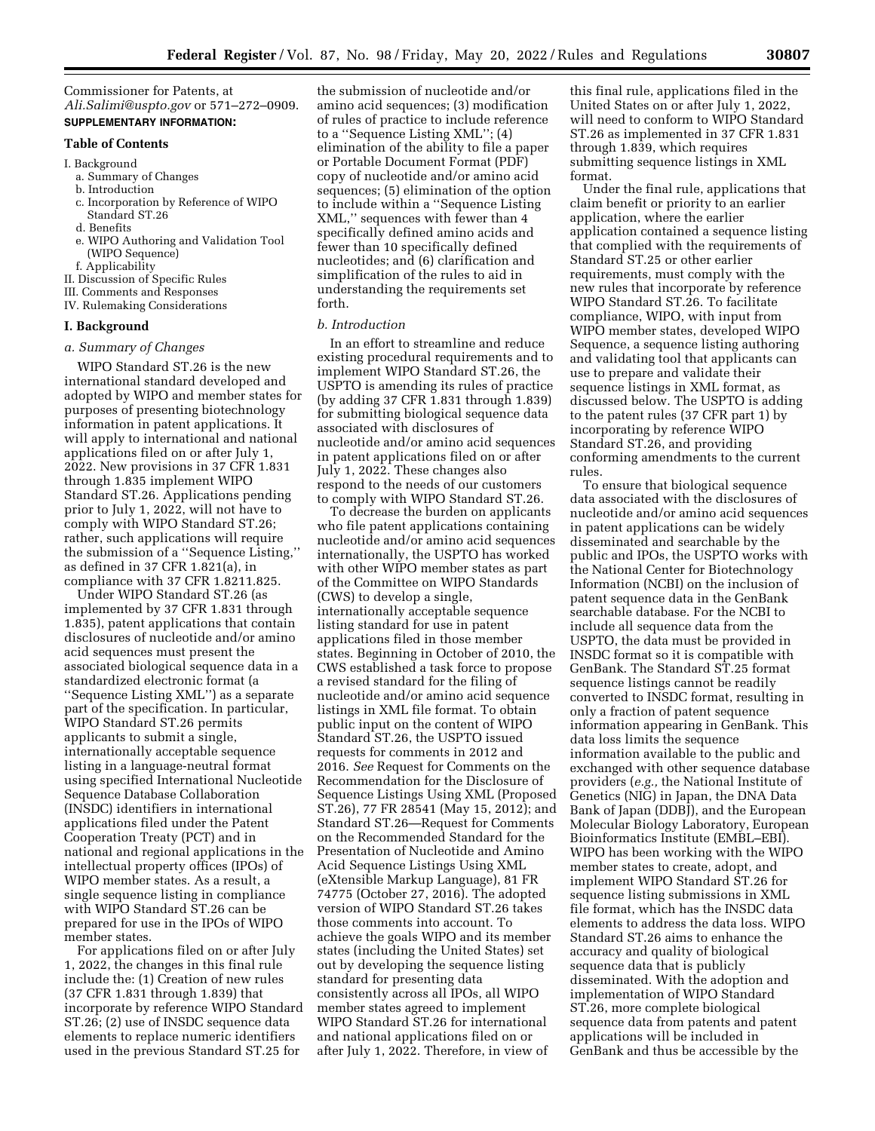Commissioner for Patents, at *[Ali.Salimi@uspto.gov](mailto:Ali.Salimi@uspto.gov)* or 571–272–0909. **SUPPLEMENTARY INFORMATION:** 

# **Table of Contents**

#### I. Background

- a. Summary of Changes
- b. Introduction
- c. Incorporation by Reference of WIPO Standard ST.26
- d. Benefits
- e. WIPO Authoring and Validation Tool (WIPO Sequence)
- f. Applicability
- II. Discussion of Specific Rules
- III. Comments and Responses
- IV. Rulemaking Considerations

## **I. Background**

#### *a. Summary of Changes*

WIPO Standard ST.26 is the new international standard developed and adopted by WIPO and member states for purposes of presenting biotechnology information in patent applications. It will apply to international and national applications filed on or after July 1, 2022. New provisions in 37 CFR 1.831 through 1.835 implement WIPO Standard ST.26. Applications pending prior to July 1, 2022, will not have to comply with WIPO Standard ST.26; rather, such applications will require the submission of a ''Sequence Listing,'' as defined in 37 CFR 1.821(a), in compliance with 37 CFR 1.8211.825.

Under WIPO Standard ST.26 (as implemented by 37 CFR 1.831 through 1.835), patent applications that contain disclosures of nucleotide and/or amino acid sequences must present the associated biological sequence data in a standardized electronic format (a ''Sequence Listing XML'') as a separate part of the specification. In particular, WIPO Standard ST.26 permits applicants to submit a single, internationally acceptable sequence listing in a language-neutral format using specified International Nucleotide Sequence Database Collaboration (INSDC) identifiers in international applications filed under the Patent Cooperation Treaty (PCT) and in national and regional applications in the intellectual property offices (IPOs) of WIPO member states. As a result, a single sequence listing in compliance with WIPO Standard ST.26 can be prepared for use in the IPOs of WIPO member states.

For applications filed on or after July 1, 2022, the changes in this final rule include the: (1) Creation of new rules (37 CFR 1.831 through 1.839) that incorporate by reference WIPO Standard ST.26; (2) use of INSDC sequence data elements to replace numeric identifiers used in the previous Standard ST.25 for

the submission of nucleotide and/or amino acid sequences; (3) modification of rules of practice to include reference to a ''Sequence Listing XML''; (4) elimination of the ability to file a paper or Portable Document Format (PDF) copy of nucleotide and/or amino acid sequences; (5) elimination of the option to include within a ''Sequence Listing XML,'' sequences with fewer than 4 specifically defined amino acids and fewer than 10 specifically defined nucleotides; and (6) clarification and simplification of the rules to aid in understanding the requirements set forth.

#### *b. Introduction*

In an effort to streamline and reduce existing procedural requirements and to implement WIPO Standard ST.26, the USPTO is amending its rules of practice (by adding 37 CFR 1.831 through 1.839) for submitting biological sequence data associated with disclosures of nucleotide and/or amino acid sequences in patent applications filed on or after July 1, 2022. These changes also respond to the needs of our customers to comply with WIPO Standard ST.26.

To decrease the burden on applicants who file patent applications containing nucleotide and/or amino acid sequences internationally, the USPTO has worked with other WIPO member states as part of the Committee on WIPO Standards (CWS) to develop a single, internationally acceptable sequence listing standard for use in patent applications filed in those member states. Beginning in October of 2010, the CWS established a task force to propose a revised standard for the filing of nucleotide and/or amino acid sequence listings in XML file format. To obtain public input on the content of WIPO Standard ST.26, the USPTO issued requests for comments in 2012 and 2016. *See* Request for Comments on the Recommendation for the Disclosure of Sequence Listings Using XML (Proposed ST.26), 77 FR 28541 (May 15, 2012); and Standard ST.26—Request for Comments on the Recommended Standard for the Presentation of Nucleotide and Amino Acid Sequence Listings Using XML (eXtensible Markup Language), 81 FR 74775 (October 27, 2016). The adopted version of WIPO Standard ST.26 takes those comments into account. To achieve the goals WIPO and its member states (including the United States) set out by developing the sequence listing standard for presenting data consistently across all IPOs, all WIPO member states agreed to implement WIPO Standard ST.26 for international and national applications filed on or after July 1, 2022. Therefore, in view of

this final rule, applications filed in the United States on or after July 1, 2022, will need to conform to WIPO Standard ST.26 as implemented in 37 CFR 1.831 through 1.839, which requires submitting sequence listings in XML format.

Under the final rule, applications that claim benefit or priority to an earlier application, where the earlier application contained a sequence listing that complied with the requirements of Standard ST.25 or other earlier requirements, must comply with the new rules that incorporate by reference WIPO Standard ST.26. To facilitate compliance, WIPO, with input from WIPO member states, developed WIPO Sequence, a sequence listing authoring and validating tool that applicants can use to prepare and validate their sequence listings in XML format, as discussed below. The USPTO is adding to the patent rules (37 CFR part 1) by incorporating by reference WIPO Standard ST.26, and providing conforming amendments to the current rules.

To ensure that biological sequence data associated with the disclosures of nucleotide and/or amino acid sequences in patent applications can be widely disseminated and searchable by the public and IPOs, the USPTO works with the National Center for Biotechnology Information (NCBI) on the inclusion of patent sequence data in the GenBank searchable database. For the NCBI to include all sequence data from the USPTO, the data must be provided in INSDC format so it is compatible with GenBank. The Standard ST.25 format sequence listings cannot be readily converted to INSDC format, resulting in only a fraction of patent sequence information appearing in GenBank. This data loss limits the sequence information available to the public and exchanged with other sequence database providers (*e.g.,* the National Institute of Genetics (NIG) in Japan, the DNA Data Bank of Japan (DDBJ), and the European Molecular Biology Laboratory, European Bioinformatics Institute (EMBL–EBI). WIPO has been working with the WIPO member states to create, adopt, and implement WIPO Standard ST.26 for sequence listing submissions in XML file format, which has the INSDC data elements to address the data loss. WIPO Standard ST.26 aims to enhance the accuracy and quality of biological sequence data that is publicly disseminated. With the adoption and implementation of WIPO Standard ST.26, more complete biological sequence data from patents and patent applications will be included in GenBank and thus be accessible by the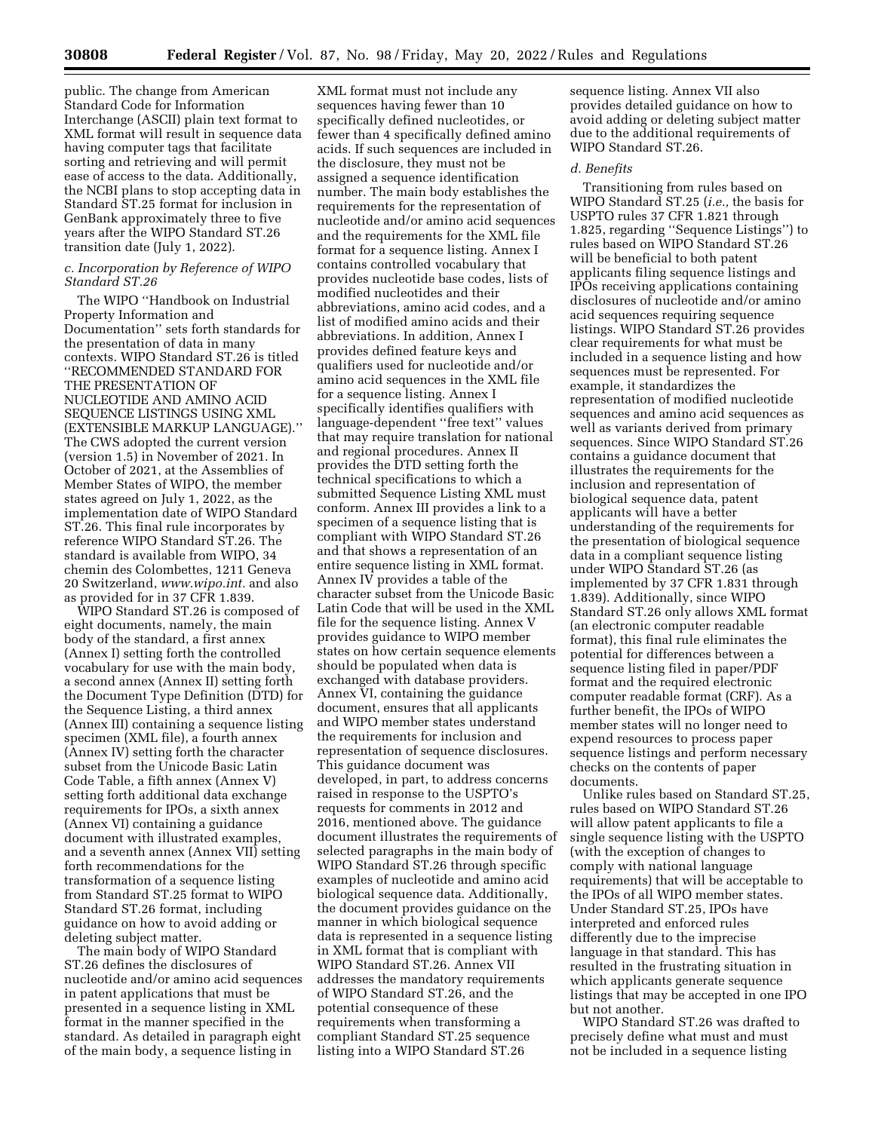public. The change from American Standard Code for Information Interchange (ASCII) plain text format to XML format will result in sequence data having computer tags that facilitate sorting and retrieving and will permit ease of access to the data. Additionally, the NCBI plans to stop accepting data in Standard ST.25 format for inclusion in GenBank approximately three to five years after the WIPO Standard ST.26 transition date (July 1, 2022).

## *c. Incorporation by Reference of WIPO Standard ST.26*

The WIPO ''Handbook on Industrial Property Information and Documentation'' sets forth standards for the presentation of data in many contexts. WIPO Standard ST.26 is titled ''RECOMMENDED STANDARD FOR THE PRESENTATION OF NUCLEOTIDE AND AMINO ACID SEQUENCE LISTINGS USING XML (EXTENSIBLE MARKUP LANGUAGE).'' The CWS adopted the current version (version 1.5) in November of 2021. In October of 2021, at the Assemblies of Member States of WIPO, the member states agreed on July 1, 2022, as the implementation date of WIPO Standard ST.26. This final rule incorporates by reference WIPO Standard ST.26. The standard is available from WIPO, 34 chemin des Colombettes, 1211 Geneva 20 Switzerland, *[www.wipo.int.](http://www.wipo.int)* and also as provided for in 37 CFR 1.839.

WIPO Standard ST.26 is composed of eight documents, namely, the main body of the standard, a first annex (Annex I) setting forth the controlled vocabulary for use with the main body, a second annex (Annex II) setting forth the Document Type Definition (DTD) for the Sequence Listing, a third annex (Annex III) containing a sequence listing specimen (XML file), a fourth annex (Annex IV) setting forth the character subset from the Unicode Basic Latin Code Table, a fifth annex (Annex V) setting forth additional data exchange requirements for IPOs, a sixth annex (Annex VI) containing a guidance document with illustrated examples, and a seventh annex (Annex VII) setting forth recommendations for the transformation of a sequence listing from Standard ST.25 format to WIPO Standard ST.26 format, including guidance on how to avoid adding or deleting subject matter.

The main body of WIPO Standard ST.26 defines the disclosures of nucleotide and/or amino acid sequences in patent applications that must be presented in a sequence listing in XML format in the manner specified in the standard. As detailed in paragraph eight of the main body, a sequence listing in

XML format must not include any sequences having fewer than 10 specifically defined nucleotides, or fewer than 4 specifically defined amino acids. If such sequences are included in the disclosure, they must not be assigned a sequence identification number. The main body establishes the requirements for the representation of nucleotide and/or amino acid sequences and the requirements for the XML file format for a sequence listing. Annex I contains controlled vocabulary that provides nucleotide base codes, lists of modified nucleotides and their abbreviations, amino acid codes, and a list of modified amino acids and their abbreviations. In addition, Annex I provides defined feature keys and qualifiers used for nucleotide and/or amino acid sequences in the XML file for a sequence listing. Annex I specifically identifies qualifiers with language-dependent ''free text'' values that may require translation for national and regional procedures. Annex II provides the DTD setting forth the technical specifications to which a submitted Sequence Listing XML must conform. Annex III provides a link to a specimen of a sequence listing that is compliant with WIPO Standard ST.26 and that shows a representation of an entire sequence listing in XML format. Annex IV provides a table of the character subset from the Unicode Basic Latin Code that will be used in the XML file for the sequence listing. Annex V provides guidance to WIPO member states on how certain sequence elements should be populated when data is exchanged with database providers. Annex VI, containing the guidance document, ensures that all applicants and WIPO member states understand the requirements for inclusion and representation of sequence disclosures. This guidance document was developed, in part, to address concerns raised in response to the USPTO's requests for comments in 2012 and 2016, mentioned above. The guidance document illustrates the requirements of selected paragraphs in the main body of WIPO Standard ST.26 through specific examples of nucleotide and amino acid biological sequence data. Additionally, the document provides guidance on the manner in which biological sequence data is represented in a sequence listing in XML format that is compliant with WIPO Standard ST.26. Annex VII addresses the mandatory requirements of WIPO Standard ST.26, and the potential consequence of these requirements when transforming a compliant Standard ST.25 sequence listing into a WIPO Standard ST.26

sequence listing. Annex VII also provides detailed guidance on how to avoid adding or deleting subject matter due to the additional requirements of WIPO Standard ST.26.

#### *d. Benefits*

Transitioning from rules based on WIPO Standard ST.25 (*i.e.,* the basis for USPTO rules 37 CFR 1.821 through 1.825, regarding ''Sequence Listings'') to rules based on WIPO Standard ST.26 will be beneficial to both patent applicants filing sequence listings and IPOs receiving applications containing disclosures of nucleotide and/or amino acid sequences requiring sequence listings. WIPO Standard ST.26 provides clear requirements for what must be included in a sequence listing and how sequences must be represented. For example, it standardizes the representation of modified nucleotide sequences and amino acid sequences as well as variants derived from primary sequences. Since WIPO Standard ST.26 contains a guidance document that illustrates the requirements for the inclusion and representation of biological sequence data, patent applicants will have a better understanding of the requirements for the presentation of biological sequence data in a compliant sequence listing under WIPO Standard ST.26 (as implemented by 37 CFR 1.831 through 1.839). Additionally, since WIPO Standard ST.26 only allows XML format (an electronic computer readable format), this final rule eliminates the potential for differences between a sequence listing filed in paper/PDF format and the required electronic computer readable format (CRF). As a further benefit, the IPOs of WIPO member states will no longer need to expend resources to process paper sequence listings and perform necessary checks on the contents of paper documents.

Unlike rules based on Standard ST.25, rules based on WIPO Standard ST.26 will allow patent applicants to file a single sequence listing with the USPTO (with the exception of changes to comply with national language requirements) that will be acceptable to the IPOs of all WIPO member states. Under Standard ST.25, IPOs have interpreted and enforced rules differently due to the imprecise language in that standard. This has resulted in the frustrating situation in which applicants generate sequence listings that may be accepted in one IPO but not another.

WIPO Standard ST.26 was drafted to precisely define what must and must not be included in a sequence listing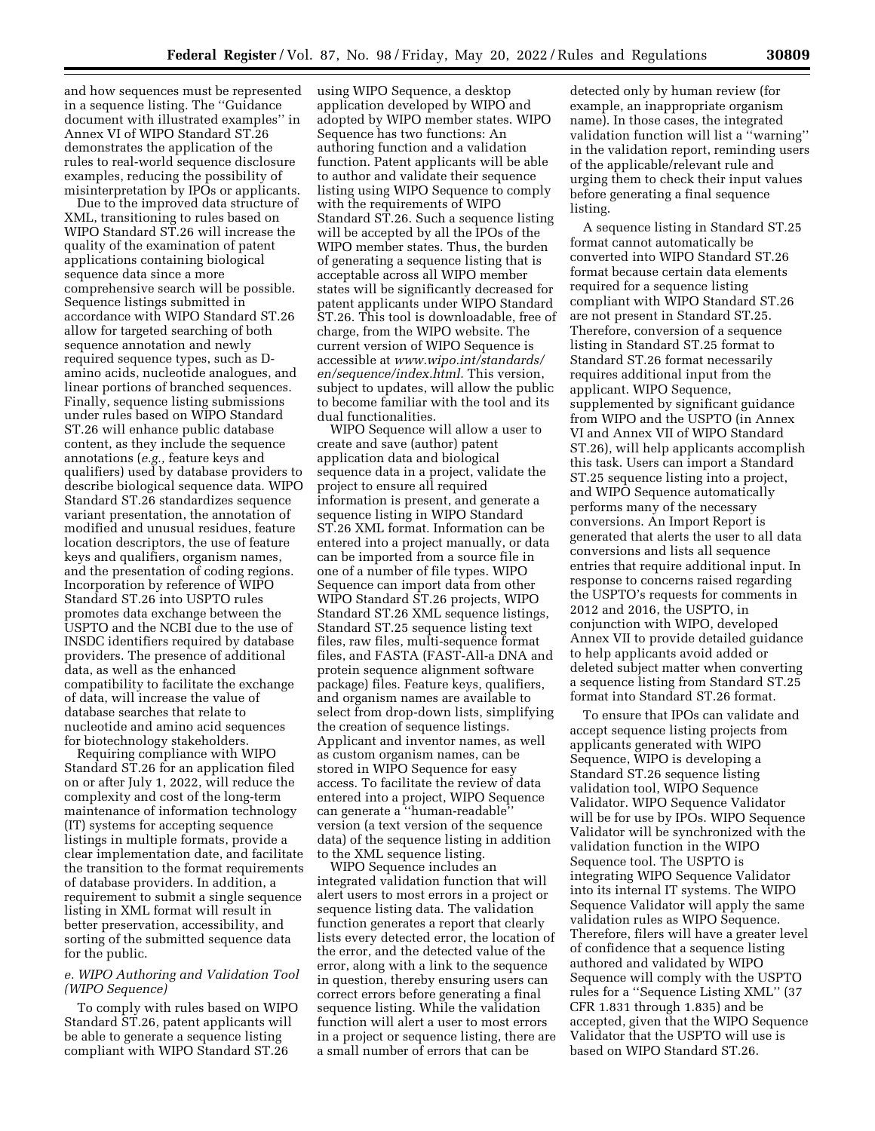and how sequences must be represented in a sequence listing. The ''Guidance document with illustrated examples'' in Annex VI of WIPO Standard ST.26 demonstrates the application of the rules to real-world sequence disclosure examples, reducing the possibility of misinterpretation by IPOs or applicants.

Due to the improved data structure of XML, transitioning to rules based on WIPO Standard ST.26 will increase the quality of the examination of patent applications containing biological sequence data since a more comprehensive search will be possible. Sequence listings submitted in accordance with WIPO Standard ST.26 allow for targeted searching of both sequence annotation and newly required sequence types, such as Damino acids, nucleotide analogues, and linear portions of branched sequences. Finally, sequence listing submissions under rules based on WIPO Standard ST.26 will enhance public database content, as they include the sequence annotations (*e.g.,* feature keys and qualifiers) used by database providers to describe biological sequence data. WIPO Standard ST.26 standardizes sequence variant presentation, the annotation of modified and unusual residues, feature location descriptors, the use of feature keys and qualifiers, organism names, and the presentation of coding regions. Incorporation by reference of WIPO Standard ST.26 into USPTO rules promotes data exchange between the USPTO and the NCBI due to the use of INSDC identifiers required by database providers. The presence of additional data, as well as the enhanced compatibility to facilitate the exchange of data, will increase the value of database searches that relate to nucleotide and amino acid sequences for biotechnology stakeholders.

Requiring compliance with WIPO Standard ST.26 for an application filed on or after July 1, 2022, will reduce the complexity and cost of the long-term maintenance of information technology (IT) systems for accepting sequence listings in multiple formats, provide a clear implementation date, and facilitate the transition to the format requirements of database providers. In addition, a requirement to submit a single sequence listing in XML format will result in better preservation, accessibility, and sorting of the submitted sequence data for the public.

# *e. WIPO Authoring and Validation Tool (WIPO Sequence)*

To comply with rules based on WIPO Standard ST.26, patent applicants will be able to generate a sequence listing compliant with WIPO Standard ST.26

using WIPO Sequence, a desktop application developed by WIPO and adopted by WIPO member states. WIPO Sequence has two functions: An authoring function and a validation function. Patent applicants will be able to author and validate their sequence listing using WIPO Sequence to comply with the requirements of WIPO Standard ST.26. Such a sequence listing will be accepted by all the IPOs of the WIPO member states. Thus, the burden of generating a sequence listing that is acceptable across all WIPO member states will be significantly decreased for patent applicants under WIPO Standard ST.26. This tool is downloadable, free of charge, from the WIPO website. The current version of WIPO Sequence is accessible at *[www.wipo.int/standards/](http://www.wipo.int/standards/en/sequence/index.html)  [en/sequence/index.html.](http://www.wipo.int/standards/en/sequence/index.html)* This version, subject to updates, will allow the public to become familiar with the tool and its dual functionalities.

WIPO Sequence will allow a user to create and save (author) patent application data and biological sequence data in a project, validate the project to ensure all required information is present, and generate a sequence listing in WIPO Standard ST.26 XML format. Information can be entered into a project manually, or data can be imported from a source file in one of a number of file types. WIPO Sequence can import data from other WIPO Standard ST.26 projects, WIPO Standard ST.26 XML sequence listings, Standard ST.25 sequence listing text files, raw files, multi-sequence format files, and FASTA (FAST-All-a DNA and protein sequence alignment software package) files. Feature keys, qualifiers, and organism names are available to select from drop-down lists, simplifying the creation of sequence listings. Applicant and inventor names, as well as custom organism names, can be stored in WIPO Sequence for easy access. To facilitate the review of data entered into a project, WIPO Sequence can generate a ''human-readable'' version (a text version of the sequence data) of the sequence listing in addition to the XML sequence listing.

WIPO Sequence includes an integrated validation function that will alert users to most errors in a project or sequence listing data. The validation function generates a report that clearly lists every detected error, the location of the error, and the detected value of the error, along with a link to the sequence in question, thereby ensuring users can correct errors before generating a final sequence listing. While the validation function will alert a user to most errors in a project or sequence listing, there are a small number of errors that can be

detected only by human review (for example, an inappropriate organism name). In those cases, the integrated validation function will list a ''warning'' in the validation report, reminding users of the applicable/relevant rule and urging them to check their input values before generating a final sequence listing.

A sequence listing in Standard ST.25 format cannot automatically be converted into WIPO Standard ST.26 format because certain data elements required for a sequence listing compliant with WIPO Standard ST.26 are not present in Standard ST.25. Therefore, conversion of a sequence listing in Standard ST.25 format to Standard ST.26 format necessarily requires additional input from the applicant. WIPO Sequence, supplemented by significant guidance from WIPO and the USPTO (in Annex VI and Annex VII of WIPO Standard ST.26), will help applicants accomplish this task. Users can import a Standard ST.25 sequence listing into a project, and WIPO Sequence automatically performs many of the necessary conversions. An Import Report is generated that alerts the user to all data conversions and lists all sequence entries that require additional input. In response to concerns raised regarding the USPTO's requests for comments in 2012 and 2016, the USPTO, in conjunction with WIPO, developed Annex VII to provide detailed guidance to help applicants avoid added or deleted subject matter when converting a sequence listing from Standard ST.25 format into Standard ST.26 format.

To ensure that IPOs can validate and accept sequence listing projects from applicants generated with WIPO Sequence, WIPO is developing a Standard ST.26 sequence listing validation tool, WIPO Sequence Validator. WIPO Sequence Validator will be for use by IPOs. WIPO Sequence Validator will be synchronized with the validation function in the WIPO Sequence tool. The USPTO is integrating WIPO Sequence Validator into its internal IT systems. The WIPO Sequence Validator will apply the same validation rules as WIPO Sequence. Therefore, filers will have a greater level of confidence that a sequence listing authored and validated by WIPO Sequence will comply with the USPTO rules for a ''Sequence Listing XML'' (37 CFR 1.831 through 1.835) and be accepted, given that the WIPO Sequence Validator that the USPTO will use is based on WIPO Standard ST.26.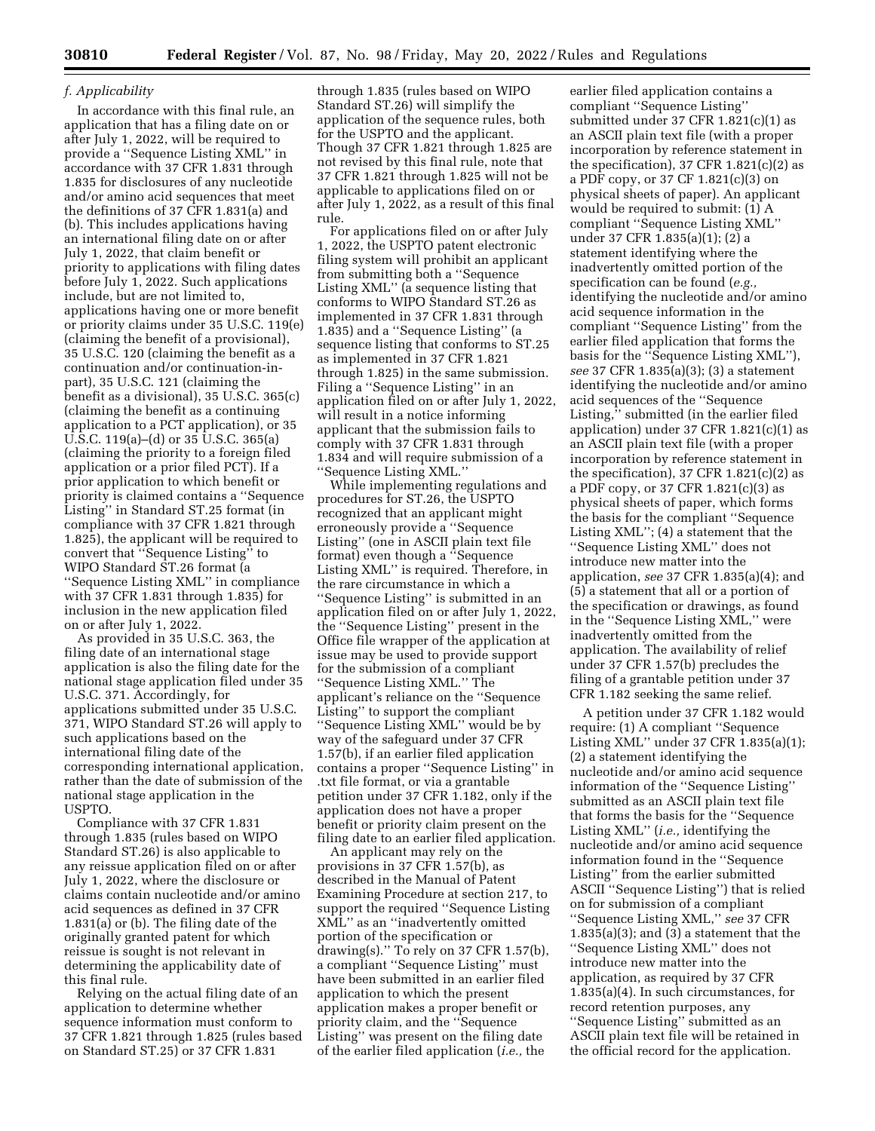# *f. Applicability*

In accordance with this final rule, an application that has a filing date on or after July 1, 2022, will be required to provide a ''Sequence Listing XML'' in accordance with 37 CFR 1.831 through 1.835 for disclosures of any nucleotide and/or amino acid sequences that meet the definitions of 37 CFR 1.831(a) and (b). This includes applications having an international filing date on or after July 1, 2022, that claim benefit or priority to applications with filing dates before July 1, 2022. Such applications include, but are not limited to, applications having one or more benefit or priority claims under 35 U.S.C. 119(e) (claiming the benefit of a provisional), 35 U.S.C. 120 (claiming the benefit as a continuation and/or continuation-inpart), 35 U.S.C. 121 (claiming the benefit as a divisional), 35 U.S.C. 365(c) (claiming the benefit as a continuing application to a PCT application), or 35 U.S.C. 119(a)–(d) or 35 U.S.C. 365(a) (claiming the priority to a foreign filed application or a prior filed PCT). If a prior application to which benefit or priority is claimed contains a ''Sequence Listing'' in Standard ST.25 format (in compliance with 37 CFR 1.821 through 1.825), the applicant will be required to convert that ''Sequence Listing'' to WIPO Standard ST.26 format (a ''Sequence Listing XML'' in compliance with 37 CFR 1.831 through 1.835) for inclusion in the new application filed on or after July 1, 2022.

As provided in 35 U.S.C. 363, the filing date of an international stage application is also the filing date for the national stage application filed under 35 U.S.C. 371. Accordingly, for applications submitted under 35 U.S.C. 371, WIPO Standard ST.26 will apply to such applications based on the international filing date of the corresponding international application, rather than the date of submission of the national stage application in the USPTO.

Compliance with 37 CFR 1.831 through 1.835 (rules based on WIPO Standard ST.26) is also applicable to any reissue application filed on or after July 1, 2022, where the disclosure or claims contain nucleotide and/or amino acid sequences as defined in 37 CFR 1.831(a) or (b). The filing date of the originally granted patent for which reissue is sought is not relevant in determining the applicability date of this final rule.

Relying on the actual filing date of an application to determine whether sequence information must conform to 37 CFR 1.821 through 1.825 (rules based on Standard ST.25) or 37 CFR 1.831

through 1.835 (rules based on WIPO Standard ST.26) will simplify the application of the sequence rules, both for the USPTO and the applicant. Though 37 CFR 1.821 through 1.825 are not revised by this final rule, note that 37 CFR 1.821 through 1.825 will not be applicable to applications filed on or after July 1, 2022, as a result of this final rule.

For applications filed on or after July 1, 2022, the USPTO patent electronic filing system will prohibit an applicant from submitting both a ''Sequence Listing XML'' (a sequence listing that conforms to WIPO Standard ST.26 as implemented in 37 CFR 1.831 through 1.835) and a ''Sequence Listing'' (a sequence listing that conforms to ST.25 as implemented in 37 CFR 1.821 through 1.825) in the same submission. Filing a ''Sequence Listing'' in an application filed on or after July 1, 2022, will result in a notice informing applicant that the submission fails to comply with 37 CFR 1.831 through 1.834 and will require submission of a ''Sequence Listing XML.''

While implementing regulations and procedures for ST.26, the USPTO recognized that an applicant might erroneously provide a ''Sequence Listing'' (one in ASCII plain text file format) even though a "Sequence Listing XML'' is required. Therefore, in the rare circumstance in which a ''Sequence Listing'' is submitted in an application filed on or after July 1, 2022, the ''Sequence Listing'' present in the Office file wrapper of the application at issue may be used to provide support for the submission of a compliant ''Sequence Listing XML.'' The applicant's reliance on the ''Sequence Listing'' to support the compliant ''Sequence Listing XML'' would be by way of the safeguard under 37 CFR 1.57(b), if an earlier filed application contains a proper ''Sequence Listing'' in .txt file format, or via a grantable petition under 37 CFR 1.182, only if the application does not have a proper benefit or priority claim present on the filing date to an earlier filed application.

An applicant may rely on the provisions in 37 CFR 1.57(b), as described in the Manual of Patent Examining Procedure at section 217, to support the required ''Sequence Listing XML'' as an ''inadvertently omitted portion of the specification or drawing(s).'' To rely on 37 CFR 1.57(b), a compliant ''Sequence Listing'' must have been submitted in an earlier filed application to which the present application makes a proper benefit or priority claim, and the ''Sequence Listing'' was present on the filing date of the earlier filed application (*i.e.,* the

earlier filed application contains a compliant ''Sequence Listing'' submitted under 37 CFR 1.821(c)(1) as an ASCII plain text file (with a proper incorporation by reference statement in the specification),  $37$  CFR  $1.821(c)(2)$  as a PDF copy, or 37 CF 1.821(c)(3) on physical sheets of paper). An applicant would be required to submit: (1) A compliant ''Sequence Listing XML'' under 37 CFR 1.835(a)(1); (2) a statement identifying where the inadvertently omitted portion of the specification can be found (*e.g.,*  identifying the nucleotide and/or amino acid sequence information in the compliant ''Sequence Listing'' from the earlier filed application that forms the basis for the ''Sequence Listing XML''), *see* 37 CFR 1.835(a)(3); (3) a statement identifying the nucleotide and/or amino acid sequences of the ''Sequence Listing,'' submitted (in the earlier filed application) under 37 CFR  $1.821(c)(1)$  as an ASCII plain text file (with a proper incorporation by reference statement in the specification),  $37$  CFR  $1.821(c)(2)$  as a PDF copy, or 37 CFR 1.821(c)(3) as physical sheets of paper, which forms the basis for the compliant ''Sequence Listing XML''; (4) a statement that the ''Sequence Listing XML'' does not introduce new matter into the application, *see* 37 CFR 1.835(a)(4); and (5) a statement that all or a portion of the specification or drawings, as found in the ''Sequence Listing XML,'' were inadvertently omitted from the application. The availability of relief under 37 CFR 1.57(b) precludes the filing of a grantable petition under 37 CFR 1.182 seeking the same relief.

A petition under 37 CFR 1.182 would require: (1) A compliant ''Sequence Listing XML'' under 37 CFR 1.835(a)(1); (2) a statement identifying the nucleotide and/or amino acid sequence information of the ''Sequence Listing'' submitted as an ASCII plain text file that forms the basis for the ''Sequence Listing XML'' (*i.e.,* identifying the nucleotide and/or amino acid sequence information found in the ''Sequence Listing'' from the earlier submitted ASCII ''Sequence Listing'') that is relied on for submission of a compliant ''Sequence Listing XML,'' *see* 37 CFR 1.835(a)(3); and (3) a statement that the ''Sequence Listing XML'' does not introduce new matter into the application, as required by 37 CFR 1.835(a)(4). In such circumstances, for record retention purposes, any ''Sequence Listing'' submitted as an ASCII plain text file will be retained in the official record for the application.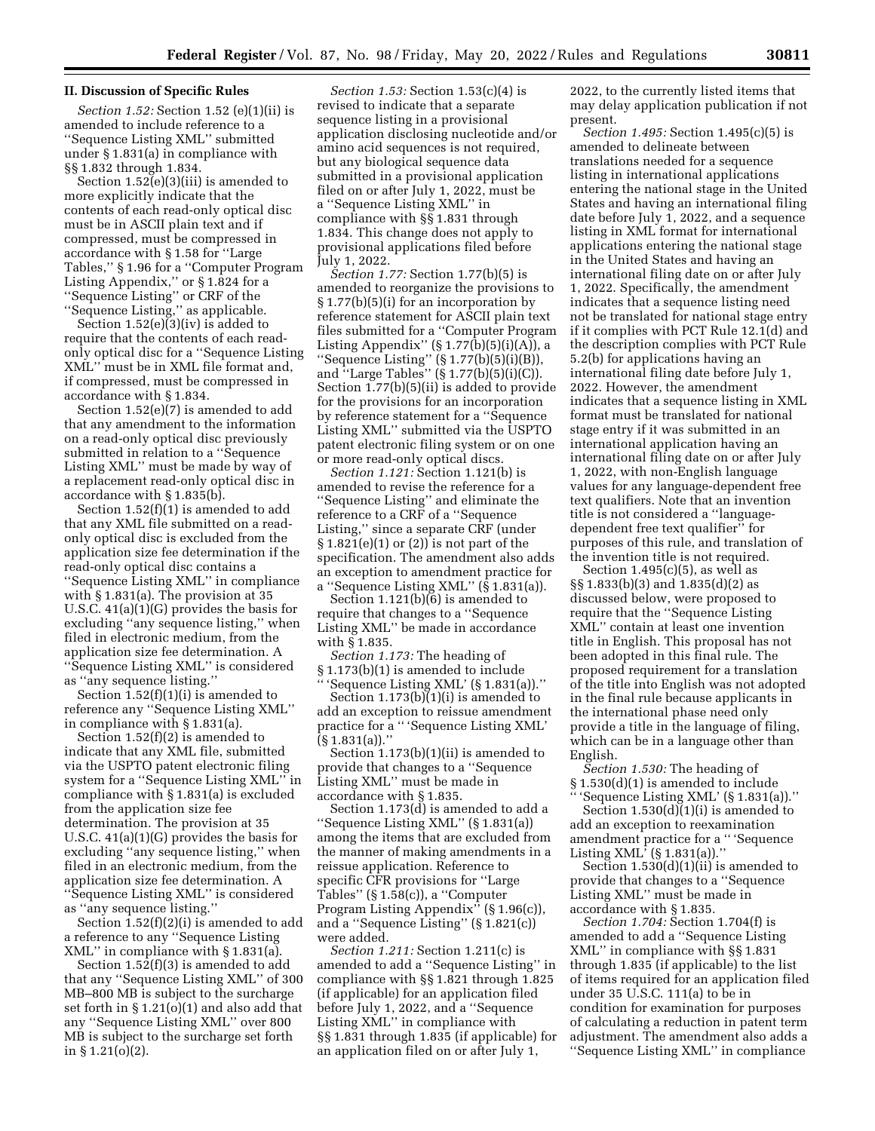# **II. Discussion of Specific Rules**

*Section 1.52:* Section 1.52 (e)(1)(ii) is amended to include reference to a ''Sequence Listing XML'' submitted under § 1.831(a) in compliance with §§ 1.832 through 1.834.

Section 1.52(e)(3)(iii) is amended to more explicitly indicate that the contents of each read-only optical disc must be in ASCII plain text and if compressed, must be compressed in accordance with § 1.58 for ''Large Tables,'' § 1.96 for a ''Computer Program Listing Appendix,'' or § 1.824 for a ''Sequence Listing'' or CRF of the ''Sequence Listing,'' as applicable.

Section 1.52(e)(3)(iv) is added to require that the contents of each readonly optical disc for a ''Sequence Listing XML'' must be in XML file format and, if compressed, must be compressed in accordance with § 1.834.

Section 1.52(e)(7) is amended to add that any amendment to the information on a read-only optical disc previously submitted in relation to a ''Sequence Listing XML'' must be made by way of a replacement read-only optical disc in accordance with § 1.835(b).

Section 1.52(f)(1) is amended to add that any XML file submitted on a readonly optical disc is excluded from the application size fee determination if the read-only optical disc contains a ''Sequence Listing XML'' in compliance with § 1.831(a). The provision at 35 U.S.C. 41(a)(1)(G) provides the basis for excluding ''any sequence listing,'' when filed in electronic medium, from the application size fee determination. A ''Sequence Listing XML'' is considered as ''any sequence listing.''

Section 1.52(f)(1)(i) is amended to reference any ''Sequence Listing XML'' in compliance with § 1.831(a).

Section 1.52(f)(2) is amended to indicate that any XML file, submitted via the USPTO patent electronic filing system for a ''Sequence Listing XML'' in compliance with § 1.831(a) is excluded from the application size fee determination. The provision at 35 U.S.C. 41(a)(1)(G) provides the basis for excluding ''any sequence listing,'' when filed in an electronic medium, from the application size fee determination. A ''Sequence Listing XML'' is considered as ''any sequence listing.''

Section 1.52(f)(2)(i) is amended to add a reference to any ''Sequence Listing XML'' in compliance with § 1.831(a).

Section 1.52(f)(3) is amended to add that any ''Sequence Listing XML'' of 300 MB–800 MB is subject to the surcharge set forth in § 1.21(o)(1) and also add that any ''Sequence Listing XML'' over 800 MB is subject to the surcharge set forth in § 1.21(o)(2).

*Section 1.53:* Section 1.53(c)(4) is revised to indicate that a separate sequence listing in a provisional application disclosing nucleotide and/or amino acid sequences is not required, but any biological sequence data submitted in a provisional application filed on or after July 1, 2022, must be a ''Sequence Listing XML'' in compliance with §§ 1.831 through 1.834. This change does not apply to provisional applications filed before July 1, 2022.

*Section 1.77:* Section 1.77(b)(5) is amended to reorganize the provisions to § 1.77(b)(5)(i) for an incorporation by reference statement for ASCII plain text files submitted for a ''Computer Program Listing Appendix'' (§ 1.77(b)(5)(i)(A)), a ''Sequence Listing'' (§ 1.77(b)(5)(i)(B)), and "Large Tables"  $(S_1.77(b)(5)(i)(c))$ . Section 1.77(b)(5)(ii) is added to provide for the provisions for an incorporation by reference statement for a ''Sequence Listing XML'' submitted via the USPTO patent electronic filing system or on one or more read-only optical discs.

*Section 1.121:* Section 1.121(b) is amended to revise the reference for a ''Sequence Listing'' and eliminate the reference to a CRF of a ''Sequence Listing,'' since a separate CRF (under  $§ 1.821(e)(1)$  or  $(2)$  is not part of the specification. The amendment also adds an exception to amendment practice for a ''Sequence Listing XML'' (§ 1.831(a)).

Section 1.121(b)(6) is amended to require that changes to a ''Sequence Listing XML'' be made in accordance with § 1.835.

*Section 1.173:* The heading of § 1.173(b)(1) is amended to include

'Sequence Listing XML' (§ 1.831(a))." Section  $1.173(b)(1)(i)$  is amended to add an exception to reissue amendment practice for a '' 'Sequence Listing XML' (§ 1.831(a)).''

Section 1.173(b)(1)(ii) is amended to provide that changes to a ''Sequence Listing XML'' must be made in accordance with § 1.835.

Section 1.173(d) is amended to add a ''Sequence Listing XML'' (§ 1.831(a)) among the items that are excluded from the manner of making amendments in a reissue application. Reference to specific CFR provisions for ''Large Tables'' (§ 1.58(c)), a ''Computer Program Listing Appendix'' (§ 1.96(c)), and a ''Sequence Listing'' (§ 1.821(c)) were added.

*Section 1.211:* Section 1.211(c) is amended to add a ''Sequence Listing'' in compliance with §§ 1.821 through 1.825 (if applicable) for an application filed before July 1, 2022, and a ''Sequence Listing XML'' in compliance with §§ 1.831 through 1.835 (if applicable) for an application filed on or after July 1,

2022, to the currently listed items that may delay application publication if not present.

*Section 1.495:* Section 1.495(c)(5) is amended to delineate between translations needed for a sequence listing in international applications entering the national stage in the United States and having an international filing date before July 1, 2022, and a sequence listing in XML format for international applications entering the national stage in the United States and having an international filing date on or after July 1, 2022. Specifically, the amendment indicates that a sequence listing need not be translated for national stage entry if it complies with PCT Rule 12.1(d) and the description complies with PCT Rule 5.2(b) for applications having an international filing date before July 1, 2022. However, the amendment indicates that a sequence listing in XML format must be translated for national stage entry if it was submitted in an international application having an international filing date on or after July 1, 2022, with non-English language values for any language-dependent free text qualifiers. Note that an invention title is not considered a ''languagedependent free text qualifier'' for purposes of this rule, and translation of the invention title is not required.

Section 1.495(c)(5), as well as §§ 1.833(b)(3) and 1.835(d)(2) as discussed below, were proposed to require that the ''Sequence Listing XML'' contain at least one invention title in English. This proposal has not been adopted in this final rule. The proposed requirement for a translation of the title into English was not adopted in the final rule because applicants in the international phase need only provide a title in the language of filing, which can be in a language other than English.

*Section 1.530:* The heading of § 1.530(d)(1) is amended to include 'Sequence Listing XML' (§ 1.831(a))."

Section  $1.530(d)(1)(i)$  is amended to add an exception to reexamination amendment practice for a '' 'Sequence Listing XML' (§ 1.831(a)).''

Section 1.530(d)(1)(ii) is amended to provide that changes to a ''Sequence Listing XML'' must be made in accordance with § 1.835.

*Section 1.704:* Section 1.704(f) is amended to add a ''Sequence Listing XML'' in compliance with §§ 1.831 through 1.835 (if applicable) to the list of items required for an application filed under 35 U.S.C. 111(a) to be in condition for examination for purposes of calculating a reduction in patent term adjustment. The amendment also adds a ''Sequence Listing XML'' in compliance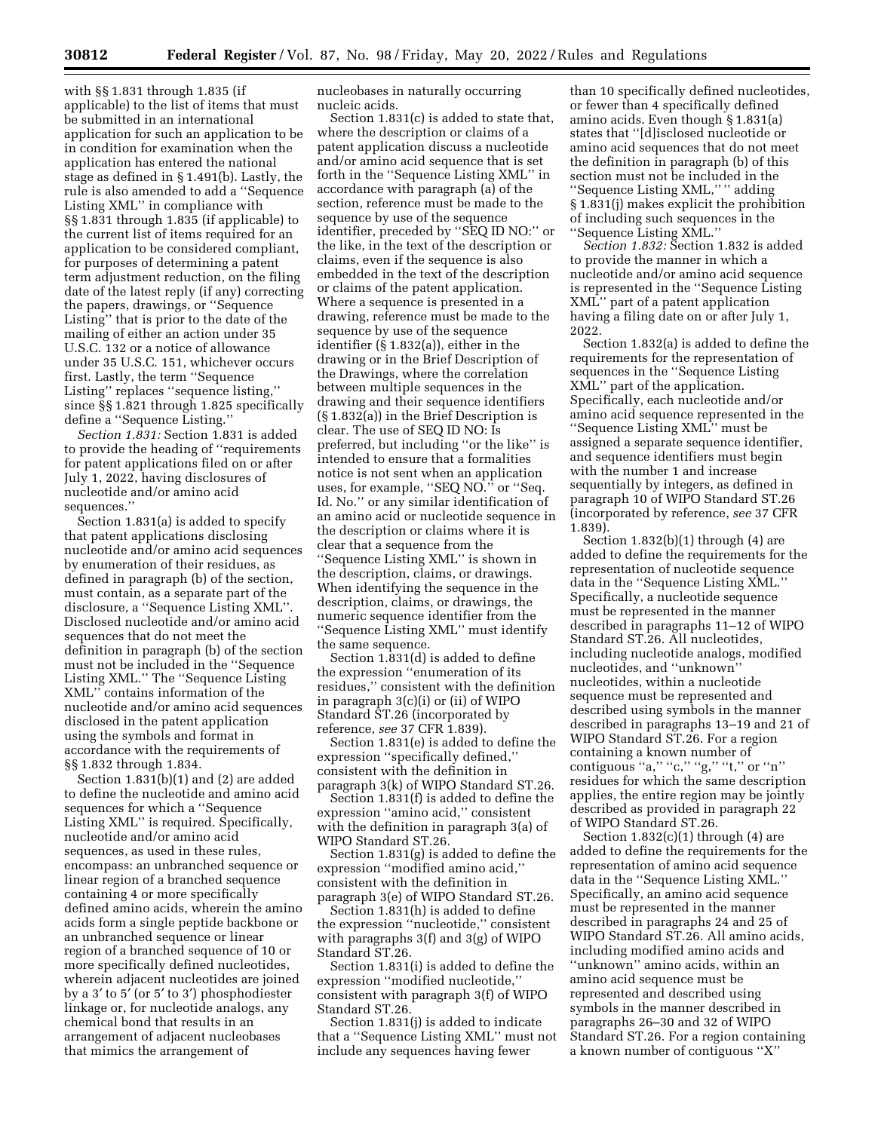with §§ 1.831 through 1.835 (if applicable) to the list of items that must be submitted in an international application for such an application to be in condition for examination when the application has entered the national stage as defined in § 1.491(b). Lastly, the rule is also amended to add a ''Sequence Listing XML'' in compliance with §§ 1.831 through 1.835 (if applicable) to the current list of items required for an application to be considered compliant, for purposes of determining a patent term adjustment reduction, on the filing date of the latest reply (if any) correcting the papers, drawings, or ''Sequence Listing'' that is prior to the date of the mailing of either an action under 35 U.S.C. 132 or a notice of allowance under 35 U.S.C. 151, whichever occurs first. Lastly, the term ''Sequence Listing'' replaces ''sequence listing,'' since §§ 1.821 through 1.825 specifically define a ''Sequence Listing.''

*Section 1.831:* Section 1.831 is added to provide the heading of ''requirements for patent applications filed on or after July 1, 2022, having disclosures of nucleotide and/or amino acid sequences.''

Section 1.831(a) is added to specify that patent applications disclosing nucleotide and/or amino acid sequences by enumeration of their residues, as defined in paragraph (b) of the section, must contain, as a separate part of the disclosure, a ''Sequence Listing XML''. Disclosed nucleotide and/or amino acid sequences that do not meet the definition in paragraph (b) of the section must not be included in the ''Sequence Listing XML.'' The ''Sequence Listing XML'' contains information of the nucleotide and/or amino acid sequences disclosed in the patent application using the symbols and format in accordance with the requirements of §§ 1.832 through 1.834.

Section 1.831(b)(1) and (2) are added to define the nucleotide and amino acid sequences for which a ''Sequence Listing XML'' is required. Specifically, nucleotide and/or amino acid sequences, as used in these rules, encompass: an unbranched sequence or linear region of a branched sequence containing 4 or more specifically defined amino acids, wherein the amino acids form a single peptide backbone or an unbranched sequence or linear region of a branched sequence of 10 or more specifically defined nucleotides, wherein adjacent nucleotides are joined by a 3′ to 5′ (or 5′ to 3′) phosphodiester linkage or, for nucleotide analogs, any chemical bond that results in an arrangement of adjacent nucleobases that mimics the arrangement of

nucleobases in naturally occurring nucleic acids.

Section 1.831(c) is added to state that, where the description or claims of a patent application discuss a nucleotide and/or amino acid sequence that is set forth in the ''Sequence Listing XML'' in accordance with paragraph (a) of the section, reference must be made to the sequence by use of the sequence identifier, preceded by ''SEQ ID NO:'' or the like, in the text of the description or claims, even if the sequence is also embedded in the text of the description or claims of the patent application. Where a sequence is presented in a drawing, reference must be made to the sequence by use of the sequence identifier (§ 1.832(a)), either in the drawing or in the Brief Description of the Drawings, where the correlation between multiple sequences in the drawing and their sequence identifiers (§ 1.832(a)) in the Brief Description is clear. The use of SEQ ID NO: Is preferred, but including ''or the like'' is intended to ensure that a formalities notice is not sent when an application uses, for example, "SEQ NO." or "Seq. Id. No.'' or any similar identification of an amino acid or nucleotide sequence in the description or claims where it is clear that a sequence from the ''Sequence Listing XML'' is shown in the description, claims, or drawings. When identifying the sequence in the description, claims, or drawings, the numeric sequence identifier from the ''Sequence Listing XML'' must identify the same sequence.

Section 1.831(d) is added to define the expression ''enumeration of its residues,'' consistent with the definition in paragraph 3(c)(i) or (ii) of WIPO Standard ST.26 (incorporated by reference, *see* 37 CFR 1.839).

Section 1.831(e) is added to define the expression ''specifically defined,'' consistent with the definition in paragraph 3(k) of WIPO Standard ST.26.

Section 1.831(f) is added to define the expression ''amino acid,'' consistent with the definition in paragraph 3(a) of WIPO Standard ST.26.

Section 1.831(g) is added to define the expression ''modified amino acid,'' consistent with the definition in paragraph 3(e) of WIPO Standard ST.26.

Section 1.831(h) is added to define the expression ''nucleotide,'' consistent with paragraphs 3(f) and 3(g) of WIPO Standard ST.26.

Section 1.831(i) is added to define the expression ''modified nucleotide,'' consistent with paragraph 3(f) of WIPO Standard ST.26.

Section 1.831(j) is added to indicate that a ''Sequence Listing XML'' must not include any sequences having fewer

than 10 specifically defined nucleotides, or fewer than 4 specifically defined amino acids. Even though § 1.831(a) states that ''[d]isclosed nucleotide or amino acid sequences that do not meet the definition in paragraph (b) of this section must not be included in the ''Sequence Listing XML,'' '' adding § 1.831(j) makes explicit the prohibition of including such sequences in the ''Sequence Listing XML.''

*Section 1.832:* Section 1.832 is added to provide the manner in which a nucleotide and/or amino acid sequence is represented in the ''Sequence Listing XML'' part of a patent application having a filing date on or after July 1, 2022.

Section 1.832(a) is added to define the requirements for the representation of sequences in the ''Sequence Listing XML'' part of the application. Specifically, each nucleotide and/or amino acid sequence represented in the ''Sequence Listing XML'' must be assigned a separate sequence identifier, and sequence identifiers must begin with the number 1 and increase sequentially by integers, as defined in paragraph 10 of WIPO Standard ST.26 (incorporated by reference, *see* 37 CFR 1.839).

Section 1.832(b)(1) through (4) are added to define the requirements for the representation of nucleotide sequence data in the ''Sequence Listing XML.'' Specifically, a nucleotide sequence must be represented in the manner described in paragraphs 11–12 of WIPO Standard ST.26. All nucleotides, including nucleotide analogs, modified nucleotides, and ''unknown'' nucleotides, within a nucleotide sequence must be represented and described using symbols in the manner described in paragraphs 13–19 and 21 of WIPO Standard ST.26. For a region containing a known number of contiguous "a," "c," "g," "t," or "n" residues for which the same description applies, the entire region may be jointly described as provided in paragraph 22 of WIPO Standard ST.26.

Section  $1.832(c)(1)$  through  $(4)$  are added to define the requirements for the representation of amino acid sequence data in the ''Sequence Listing XML.'' Specifically, an amino acid sequence must be represented in the manner described in paragraphs 24 and 25 of WIPO Standard ST.26. All amino acids, including modified amino acids and ''unknown'' amino acids, within an amino acid sequence must be represented and described using symbols in the manner described in paragraphs 26–30 and 32 of WIPO Standard ST.26. For a region containing a known number of contiguous ''X''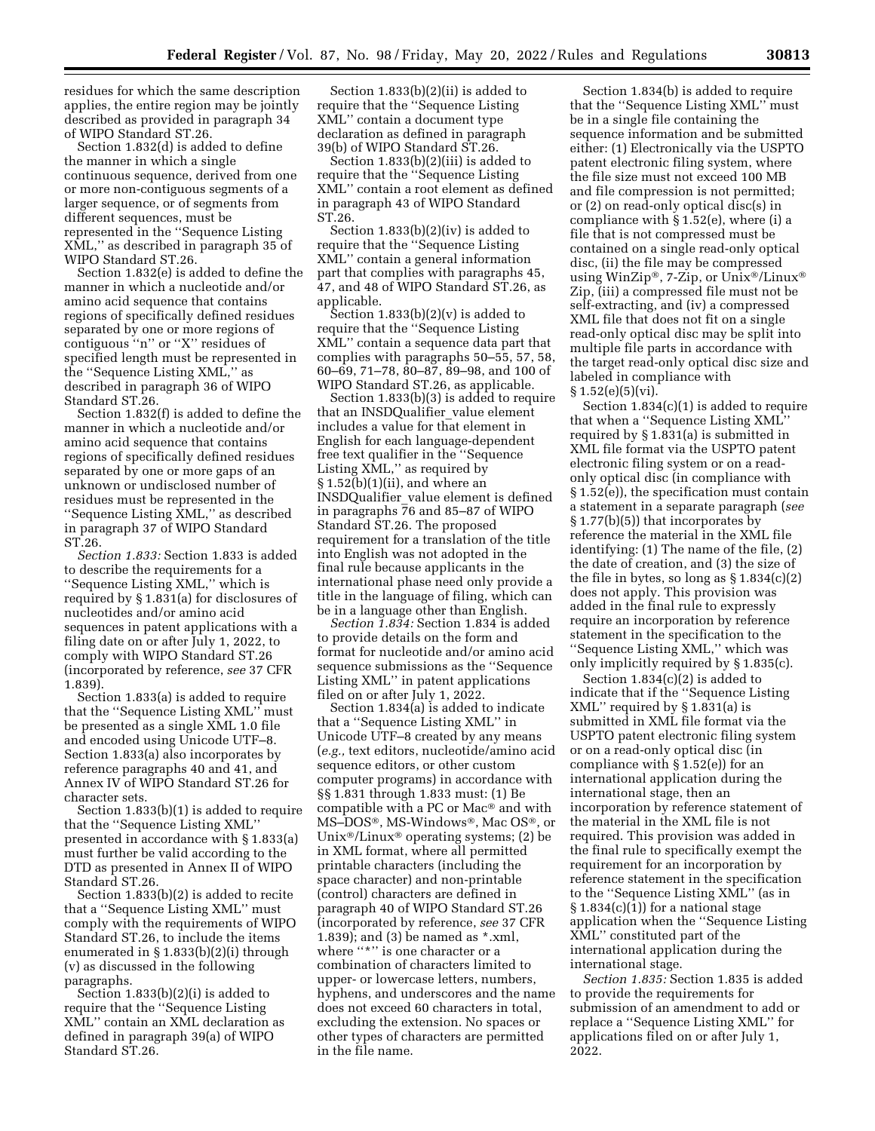residues for which the same description applies, the entire region may be jointly described as provided in paragraph 34 of WIPO Standard ST.26.

Section 1.832(d) is added to define the manner in which a single continuous sequence, derived from one or more non-contiguous segments of a larger sequence, or of segments from different sequences, must be represented in the ''Sequence Listing XML,'' as described in paragraph 35 of WIPO Standard ST.26.

Section 1.832(e) is added to define the manner in which a nucleotide and/or amino acid sequence that contains regions of specifically defined residues separated by one or more regions of contiguous ''n'' or ''X'' residues of specified length must be represented in the ''Sequence Listing XML,'' as described in paragraph 36 of WIPO Standard ST.26.

Section 1.832(f) is added to define the manner in which a nucleotide and/or amino acid sequence that contains regions of specifically defined residues separated by one or more gaps of an unknown or undisclosed number of residues must be represented in the ''Sequence Listing XML,'' as described in paragraph 37 of WIPO Standard ST.26.

*Section 1.833:* Section 1.833 is added to describe the requirements for a ''Sequence Listing XML,'' which is required by § 1.831(a) for disclosures of nucleotides and/or amino acid sequences in patent applications with a filing date on or after July 1, 2022, to comply with WIPO Standard ST.26 (incorporated by reference, *see* 37 CFR 1.839).

Section 1.833(a) is added to require that the ''Sequence Listing XML'' must be presented as a single XML 1.0 file and encoded using Unicode UTF–8. Section 1.833(a) also incorporates by reference paragraphs 40 and 41, and Annex IV of WIPO Standard ST.26 for character sets.

Section 1.833(b)(1) is added to require that the ''Sequence Listing XML'' presented in accordance with § 1.833(a) must further be valid according to the DTD as presented in Annex II of WIPO Standard ST.26.

Section 1.833(b)(2) is added to recite that a ''Sequence Listing XML'' must comply with the requirements of WIPO Standard ST.26, to include the items enumerated in § 1.833(b)(2)(i) through (v) as discussed in the following paragraphs.

Section 1.833(b)(2)(i) is added to require that the ''Sequence Listing XML'' contain an XML declaration as defined in paragraph 39(a) of WIPO Standard ST.26.

Section 1.833(b)(2)(ii) is added to require that the ''Sequence Listing XML'' contain a document type declaration as defined in paragraph 39(b) of WIPO Standard ST.26.

Section 1.833(b)(2)(iii) is added to require that the ''Sequence Listing XML'' contain a root element as defined in paragraph 43 of WIPO Standard ST.26.

Section 1.833(b)(2)(iv) is added to require that the ''Sequence Listing XML'' contain a general information part that complies with paragraphs 45, 47, and 48 of WIPO Standard ST.26, as applicable.

Section  $1.833(b)(2)(v)$  is added to require that the ''Sequence Listing XML'' contain a sequence data part that complies with paragraphs 50–55, 57, 58, 60–69, 71–78, 80–87, 89–98, and 100 of WIPO Standard ST.26, as applicable.

Section 1.833(b)(3) is added to require that an INSDQualifier\_value element includes a value for that element in English for each language-dependent free text qualifier in the ''Sequence Listing XML,'' as required by  $\S 1.52(b)(1)(ii)$ , and where an INSDQualifier\_value element is defined in paragraphs 76 and 85–87 of WIPO Standard ST.26. The proposed requirement for a translation of the title into English was not adopted in the final rule because applicants in the international phase need only provide a title in the language of filing, which can be in a language other than English.

*Section 1.834:* Section 1.834 is added to provide details on the form and format for nucleotide and/or amino acid sequence submissions as the ''Sequence Listing XML'' in patent applications filed on or after July 1, 2022.

Section 1.834(a) is added to indicate that a ''Sequence Listing XML'' in Unicode UTF–8 created by any means (*e.g.,* text editors, nucleotide/amino acid sequence editors, or other custom computer programs) in accordance with §§ 1.831 through 1.833 must: (1) Be compatible with a PC or Mac® and with MS–DOS®, MS-Windows®, Mac OS®, or Unix®/Linux® operating systems; (2) be in XML format, where all permitted printable characters (including the space character) and non-printable (control) characters are defined in paragraph 40 of WIPO Standard ST.26 (incorporated by reference, *see* 37 CFR 1.839); and (3) be named as \*.xml, where "\*" is one character or a combination of characters limited to upper- or lowercase letters, numbers, hyphens, and underscores and the name does not exceed 60 characters in total, excluding the extension. No spaces or other types of characters are permitted in the file name.

Section 1.834(b) is added to require that the ''Sequence Listing XML'' must be in a single file containing the sequence information and be submitted either: (1) Electronically via the USPTO patent electronic filing system, where the file size must not exceed 100 MB and file compression is not permitted; or (2) on read-only optical disc(s) in compliance with § 1.52(e), where (i) a file that is not compressed must be contained on a single read-only optical disc, (ii) the file may be compressed using WinZip®, 7-Zip, or Unix®/Linux® Zip, (iii) a compressed file must not be self-extracting, and (iv) a compressed XML file that does not fit on a single read-only optical disc may be split into multiple file parts in accordance with the target read-only optical disc size and labeled in compliance with  $§ 1.52(e)(5)(vi).$ 

Section 1.834(c)(1) is added to require that when a ''Sequence Listing XML'' required by § 1.831(a) is submitted in XML file format via the USPTO patent electronic filing system or on a readonly optical disc (in compliance with § 1.52(e)), the specification must contain a statement in a separate paragraph (*see*  § 1.77(b)(5)) that incorporates by reference the material in the XML file identifying: (1) The name of the file, (2) the date of creation, and (3) the size of the file in bytes, so long as  $\S 1.834(c)(2)$ does not apply. This provision was added in the final rule to expressly require an incorporation by reference statement in the specification to the ''Sequence Listing XML,'' which was only implicitly required by § 1.835(c).

Section 1.834(c)(2) is added to indicate that if the ''Sequence Listing XML'' required by § 1.831(a) is submitted in XML file format via the USPTO patent electronic filing system or on a read-only optical disc (in compliance with § 1.52(e)) for an international application during the international stage, then an incorporation by reference statement of the material in the XML file is not required. This provision was added in the final rule to specifically exempt the requirement for an incorporation by reference statement in the specification to the ''Sequence Listing XML'' (as in  $\S 1.834(c)(1)$  for a national stage application when the ''Sequence Listing XML'' constituted part of the international application during the international stage.

*Section 1.835:* Section 1.835 is added to provide the requirements for submission of an amendment to add or replace a ''Sequence Listing XML'' for applications filed on or after July 1, 2022.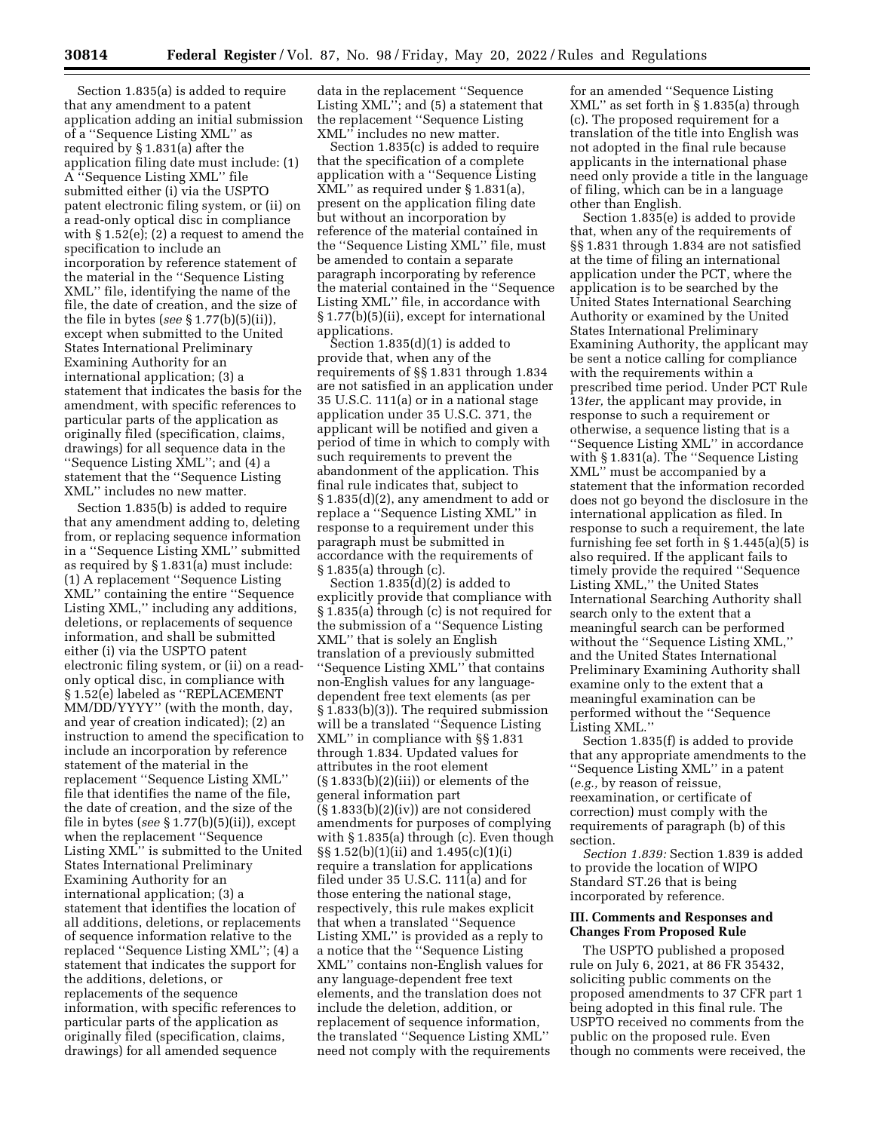Section 1.835(a) is added to require that any amendment to a patent application adding an initial submission of a ''Sequence Listing XML'' as required by § 1.831(a) after the application filing date must include: (1) A ''Sequence Listing XML'' file submitted either (i) via the USPTO patent electronic filing system, or (ii) on a read-only optical disc in compliance with § 1.52(e); (2) a request to amend the specification to include an incorporation by reference statement of the material in the ''Sequence Listing XML'' file, identifying the name of the file, the date of creation, and the size of the file in bytes (*see* § 1.77(b)(5)(ii)), except when submitted to the United States International Preliminary Examining Authority for an international application; (3) a statement that indicates the basis for the amendment, with specific references to particular parts of the application as originally filed (specification, claims, drawings) for all sequence data in the ''Sequence Listing XML''; and (4) a statement that the ''Sequence Listing XML'' includes no new matter.

Section 1.835(b) is added to require that any amendment adding to, deleting from, or replacing sequence information in a ''Sequence Listing XML'' submitted as required by § 1.831(a) must include: (1) A replacement ''Sequence Listing XML'' containing the entire ''Sequence Listing XML,'' including any additions, deletions, or replacements of sequence information, and shall be submitted either (i) via the USPTO patent electronic filing system, or (ii) on a readonly optical disc, in compliance with § 1.52(e) labeled as ''REPLACEMENT MM/DD/YYYY'' (with the month, day, and year of creation indicated); (2) an instruction to amend the specification to include an incorporation by reference statement of the material in the replacement ''Sequence Listing XML'' file that identifies the name of the file, the date of creation, and the size of the file in bytes (*see* § 1.77(b)(5)(ii)), except when the replacement ''Sequence Listing XML'' is submitted to the United States International Preliminary Examining Authority for an international application; (3) a statement that identifies the location of all additions, deletions, or replacements of sequence information relative to the replaced ''Sequence Listing XML''; (4) a statement that indicates the support for the additions, deletions, or replacements of the sequence information, with specific references to particular parts of the application as originally filed (specification, claims, drawings) for all amended sequence

data in the replacement ''Sequence Listing XML''; and (5) a statement that the replacement ''Sequence Listing XML'' includes no new matter.

Section 1.835(c) is added to require that the specification of a complete application with a ''Sequence Listing XML'' as required under § 1.831(a), present on the application filing date but without an incorporation by reference of the material contained in the ''Sequence Listing XML'' file, must be amended to contain a separate paragraph incorporating by reference the material contained in the ''Sequence Listing XML'' file, in accordance with § 1.77(b)(5)(ii), except for international applications.

Section  $1.835(d)(1)$  is added to provide that, when any of the requirements of §§ 1.831 through 1.834 are not satisfied in an application under 35 U.S.C. 111(a) or in a national stage application under 35 U.S.C. 371, the applicant will be notified and given a period of time in which to comply with such requirements to prevent the abandonment of the application. This final rule indicates that, subject to § 1.835(d)(2), any amendment to add or replace a ''Sequence Listing XML'' in response to a requirement under this paragraph must be submitted in accordance with the requirements of § 1.835(a) through (c).

Section 1.835(d)(2) is added to explicitly provide that compliance with § 1.835(a) through (c) is not required for the submission of a ''Sequence Listing XML'' that is solely an English translation of a previously submitted ''Sequence Listing XML'' that contains non-English values for any languagedependent free text elements (as per § 1.833(b)(3)). The required submission will be a translated ''Sequence Listing XML'' in compliance with §§ 1.831 through 1.834. Updated values for attributes in the root element  $(\S 1.833(b)(2)(iii))$  or elements of the general information part  $(\S 1.833(b)(2)(iv))$  are not considered amendments for purposes of complying with § 1.835(a) through (c). Even though §§ 1.52(b)(1)(ii) and 1.495(c)(1)(i) require a translation for applications filed under 35 U.S.C. 111(a) and for those entering the national stage, respectively, this rule makes explicit that when a translated ''Sequence Listing XML'' is provided as a reply to a notice that the ''Sequence Listing XML'' contains non-English values for any language-dependent free text elements, and the translation does not include the deletion, addition, or replacement of sequence information, the translated ''Sequence Listing XML'' need not comply with the requirements

for an amended ''Sequence Listing XML'' as set forth in § 1.835(a) through (c). The proposed requirement for a translation of the title into English was not adopted in the final rule because applicants in the international phase need only provide a title in the language of filing, which can be in a language other than English.

Section 1.835(e) is added to provide that, when any of the requirements of §§ 1.831 through 1.834 are not satisfied at the time of filing an international application under the PCT, where the application is to be searched by the United States International Searching Authority or examined by the United States International Preliminary Examining Authority, the applicant may be sent a notice calling for compliance with the requirements within a prescribed time period. Under PCT Rule 13*ter,* the applicant may provide, in response to such a requirement or otherwise, a sequence listing that is a ''Sequence Listing XML'' in accordance with § 1.831(a). The ''Sequence Listing XML'' must be accompanied by a statement that the information recorded does not go beyond the disclosure in the international application as filed. In response to such a requirement, the late furnishing fee set forth in § 1.445(a)(5) is also required. If the applicant fails to timely provide the required ''Sequence Listing XML,'' the United States International Searching Authority shall search only to the extent that a meaningful search can be performed without the ''Sequence Listing XML,'' and the United States International Preliminary Examining Authority shall examine only to the extent that a meaningful examination can be performed without the ''Sequence Listing XML.''

Section 1.835(f) is added to provide that any appropriate amendments to the ''Sequence Listing XML'' in a patent (*e.g.,* by reason of reissue, reexamination, or certificate of correction) must comply with the requirements of paragraph (b) of this section.

*Section 1.839:* Section 1.839 is added to provide the location of WIPO Standard ST.26 that is being incorporated by reference.

## **III. Comments and Responses and Changes From Proposed Rule**

The USPTO published a proposed rule on July 6, 2021, at 86 FR 35432, soliciting public comments on the proposed amendments to 37 CFR part 1 being adopted in this final rule. The USPTO received no comments from the public on the proposed rule. Even though no comments were received, the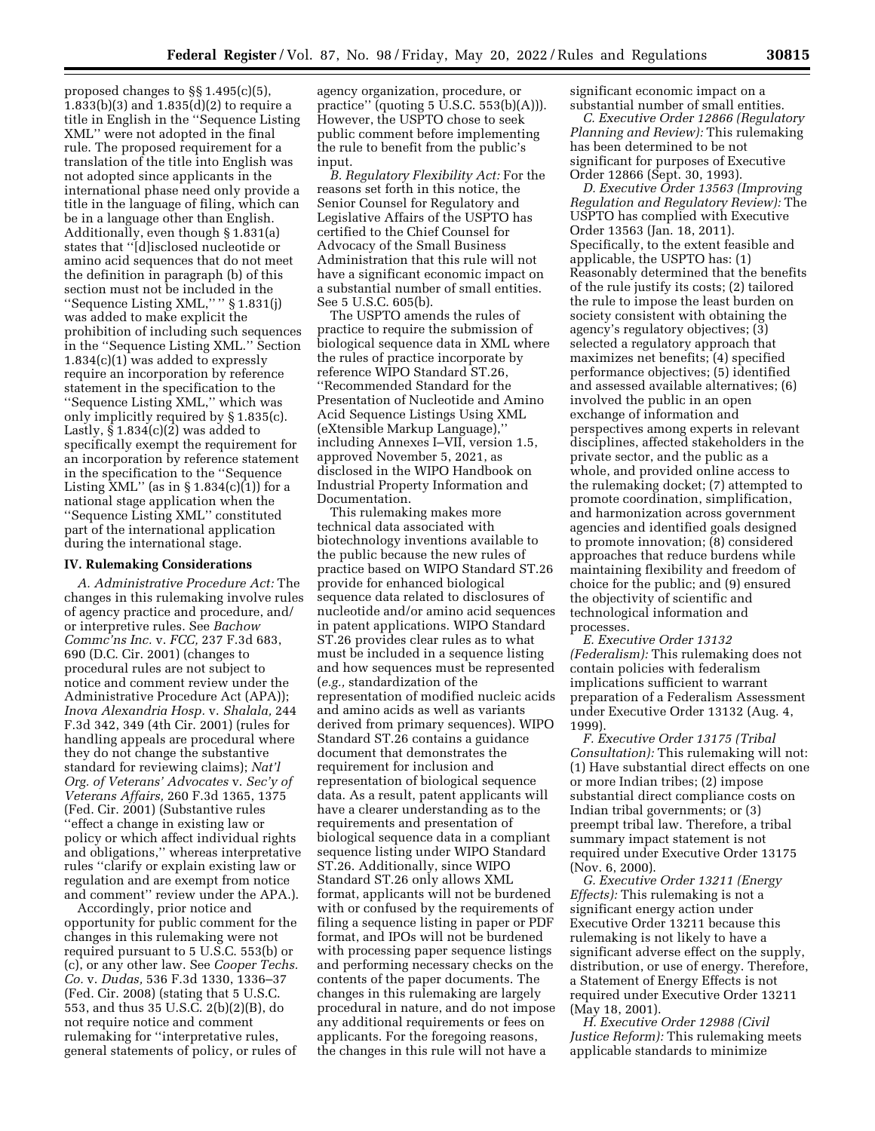proposed changes to §§ 1.495(c)(5), 1.833(b)(3) and 1.835(d)(2) to require a title in English in the ''Sequence Listing XML'' were not adopted in the final rule. The proposed requirement for a translation of the title into English was not adopted since applicants in the international phase need only provide a title in the language of filing, which can be in a language other than English. Additionally, even though § 1.831(a) states that ''[d]isclosed nucleotide or amino acid sequences that do not meet the definition in paragraph (b) of this section must not be included in the ''Sequence Listing XML,'' '' § 1.831(j) was added to make explicit the prohibition of including such sequences in the ''Sequence Listing XML.'' Section 1.834(c)(1) was added to expressly require an incorporation by reference statement in the specification to the ''Sequence Listing XML,'' which was only implicitly required by § 1.835(c). Lastly,  $\S 1.834(c)(2)$  was added to specifically exempt the requirement for an incorporation by reference statement in the specification to the ''Sequence Listing  $\text{XML}$ " (as in § 1.834(c)(1)) for a national stage application when the ''Sequence Listing XML'' constituted part of the international application during the international stage.

#### **IV. Rulemaking Considerations**

*A. Administrative Procedure Act:* The changes in this rulemaking involve rules of agency practice and procedure, and/ or interpretive rules. See *Bachow Commc'ns Inc.* v. *FCC,* 237 F.3d 683, 690 (D.C. Cir. 2001) (changes to procedural rules are not subject to notice and comment review under the Administrative Procedure Act (APA)); *Inova Alexandria Hosp.* v. *Shalala,* 244 F.3d 342, 349 (4th Cir. 2001) (rules for handling appeals are procedural where they do not change the substantive standard for reviewing claims); *Nat'l Org. of Veterans' Advocates* v. *Sec'y of Veterans Affairs,* 260 F.3d 1365, 1375 (Fed. Cir. 2001) (Substantive rules ''effect a change in existing law or policy or which affect individual rights and obligations,'' whereas interpretative rules ''clarify or explain existing law or regulation and are exempt from notice and comment'' review under the APA.).

Accordingly, prior notice and opportunity for public comment for the changes in this rulemaking were not required pursuant to 5 U.S.C. 553(b) or (c), or any other law. See *Cooper Techs. Co.* v. *Dudas,* 536 F.3d 1330, 1336–37 (Fed. Cir. 2008) (stating that 5 U.S.C. 553, and thus 35 U.S.C. 2(b)(2)(B), do not require notice and comment rulemaking for ''interpretative rules, general statements of policy, or rules of

agency organization, procedure, or practice" (quoting  $5 \text{ U.S.C. } 553(b)(A))$ ). However, the USPTO chose to seek public comment before implementing the rule to benefit from the public's input.

*B. Regulatory Flexibility Act:* For the reasons set forth in this notice, the Senior Counsel for Regulatory and Legislative Affairs of the USPTO has certified to the Chief Counsel for Advocacy of the Small Business Administration that this rule will not have a significant economic impact on a substantial number of small entities. See 5 U.S.C. 605(b).

The USPTO amends the rules of practice to require the submission of biological sequence data in XML where the rules of practice incorporate by reference WIPO Standard ST.26, ''Recommended Standard for the Presentation of Nucleotide and Amino Acid Sequence Listings Using XML (eXtensible Markup Language),'' including Annexes I–VII, version 1.5, approved November 5, 2021, as disclosed in the WIPO Handbook on Industrial Property Information and Documentation.

This rulemaking makes more technical data associated with biotechnology inventions available to the public because the new rules of practice based on WIPO Standard ST.26 provide for enhanced biological sequence data related to disclosures of nucleotide and/or amino acid sequences in patent applications. WIPO Standard ST.26 provides clear rules as to what must be included in a sequence listing and how sequences must be represented (*e.g.,* standardization of the representation of modified nucleic acids and amino acids as well as variants derived from primary sequences). WIPO Standard ST.26 contains a guidance document that demonstrates the requirement for inclusion and representation of biological sequence data. As a result, patent applicants will have a clearer understanding as to the requirements and presentation of biological sequence data in a compliant sequence listing under WIPO Standard ST.26. Additionally, since WIPO Standard ST.26 only allows XML format, applicants will not be burdened with or confused by the requirements of filing a sequence listing in paper or PDF format, and IPOs will not be burdened with processing paper sequence listings and performing necessary checks on the contents of the paper documents. The changes in this rulemaking are largely procedural in nature, and do not impose any additional requirements or fees on applicants. For the foregoing reasons, the changes in this rule will not have a

significant economic impact on a substantial number of small entities.

*C. Executive Order 12866 (Regulatory Planning and Review):* This rulemaking has been determined to be not significant for purposes of Executive Order 12866 (Sept. 30, 1993).

*D. Executive Order 13563 (Improving Regulation and Regulatory Review):* The USPTO has complied with Executive Order 13563 (Jan. 18, 2011). Specifically, to the extent feasible and applicable, the USPTO has: (1) Reasonably determined that the benefits of the rule justify its costs; (2) tailored the rule to impose the least burden on society consistent with obtaining the agency's regulatory objectives; (3) selected a regulatory approach that maximizes net benefits; (4) specified performance objectives; (5) identified and assessed available alternatives; (6) involved the public in an open exchange of information and perspectives among experts in relevant disciplines, affected stakeholders in the private sector, and the public as a whole, and provided online access to the rulemaking docket; (7) attempted to promote coordination, simplification, and harmonization across government agencies and identified goals designed to promote innovation; (8) considered approaches that reduce burdens while maintaining flexibility and freedom of choice for the public; and (9) ensured the objectivity of scientific and technological information and processes.

*E. Executive Order 13132 (Federalism):* This rulemaking does not contain policies with federalism implications sufficient to warrant preparation of a Federalism Assessment under Executive Order 13132 (Aug. 4, 1999).

*F. Executive Order 13175 (Tribal Consultation):* This rulemaking will not: (1) Have substantial direct effects on one or more Indian tribes; (2) impose substantial direct compliance costs on Indian tribal governments; or (3) preempt tribal law. Therefore, a tribal summary impact statement is not required under Executive Order 13175 (Nov. 6, 2000).

*G. Executive Order 13211 (Energy Effects):* This rulemaking is not a significant energy action under Executive Order 13211 because this rulemaking is not likely to have a significant adverse effect on the supply, distribution, or use of energy. Therefore, a Statement of Energy Effects is not required under Executive Order 13211 (May 18, 2001).

*H. Executive Order 12988 (Civil Justice Reform):* This rulemaking meets applicable standards to minimize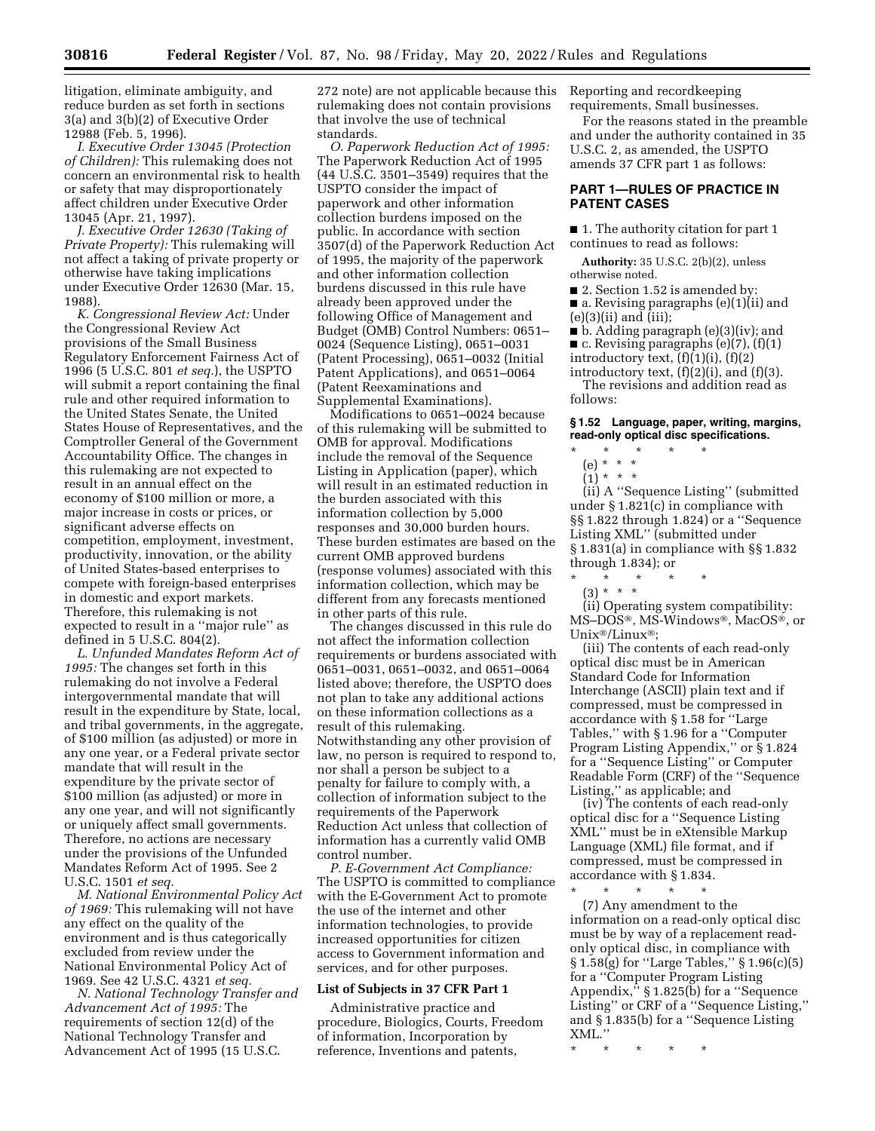litigation, eliminate ambiguity, and reduce burden as set forth in sections 3(a) and 3(b)(2) of Executive Order

12988 (Feb. 5, 1996). *I. Executive Order 13045 (Protection of Children):* This rulemaking does not concern an environmental risk to health or safety that may disproportionately affect children under Executive Order 13045 (Apr. 21, 1997).

*J. Executive Order 12630 (Taking of Private Property):* This rulemaking will not affect a taking of private property or otherwise have taking implications under Executive Order 12630 (Mar. 15, 1988).

*K. Congressional Review Act:* Under the Congressional Review Act provisions of the Small Business Regulatory Enforcement Fairness Act of 1996 (5 U.S.C. 801 *et seq.*), the USPTO will submit a report containing the final rule and other required information to the United States Senate, the United States House of Representatives, and the Comptroller General of the Government Accountability Office. The changes in this rulemaking are not expected to result in an annual effect on the economy of \$100 million or more, a major increase in costs or prices, or significant adverse effects on competition, employment, investment, productivity, innovation, or the ability of United States-based enterprises to compete with foreign-based enterprises in domestic and export markets. Therefore, this rulemaking is not expected to result in a ''major rule'' as defined in 5 U.S.C. 804(2).

*L. Unfunded Mandates Reform Act of 1995:* The changes set forth in this rulemaking do not involve a Federal intergovernmental mandate that will result in the expenditure by State, local, and tribal governments, in the aggregate, of \$100 million (as adjusted) or more in any one year, or a Federal private sector mandate that will result in the expenditure by the private sector of \$100 million (as adjusted) or more in any one year, and will not significantly or uniquely affect small governments. Therefore, no actions are necessary under the provisions of the Unfunded Mandates Reform Act of 1995. See 2 U.S.C. 1501 *et seq.* 

*M. National Environmental Policy Act of 1969:* This rulemaking will not have any effect on the quality of the environment and is thus categorically excluded from review under the National Environmental Policy Act of 1969. See 42 U.S.C. 4321 *et seq.* 

*N. National Technology Transfer and Advancement Act of 1995:* The requirements of section 12(d) of the National Technology Transfer and Advancement Act of 1995 (15 U.S.C.

272 note) are not applicable because this rulemaking does not contain provisions that involve the use of technical standards.

*O. Paperwork Reduction Act of 1995:*  The Paperwork Reduction Act of 1995 (44 U.S.C. 3501–3549) requires that the USPTO consider the impact of paperwork and other information collection burdens imposed on the public. In accordance with section 3507(d) of the Paperwork Reduction Act of 1995, the majority of the paperwork and other information collection burdens discussed in this rule have already been approved under the following Office of Management and Budget (OMB) Control Numbers: 0651– 0024 (Sequence Listing), 0651–0031 (Patent Processing), 0651–0032 (Initial Patent Applications), and 0651–0064 (Patent Reexaminations and Supplemental Examinations).

Modifications to 0651–0024 because of this rulemaking will be submitted to OMB for approval. Modifications include the removal of the Sequence Listing in Application (paper), which will result in an estimated reduction in the burden associated with this information collection by 5,000 responses and 30,000 burden hours. These burden estimates are based on the current OMB approved burdens (response volumes) associated with this information collection, which may be different from any forecasts mentioned in other parts of this rule.

The changes discussed in this rule do not affect the information collection requirements or burdens associated with 0651–0031, 0651–0032, and 0651–0064 listed above; therefore, the USPTO does not plan to take any additional actions on these information collections as a result of this rulemaking. Notwithstanding any other provision of law, no person is required to respond to, nor shall a person be subject to a penalty for failure to comply with, a collection of information subject to the requirements of the Paperwork Reduction Act unless that collection of information has a currently valid OMB control number.

*P. E-Government Act Compliance:*  The USPTO is committed to compliance with the E-Government Act to promote the use of the internet and other information technologies, to provide increased opportunities for citizen access to Government information and services, and for other purposes.

#### **List of Subjects in 37 CFR Part 1**

Administrative practice and procedure, Biologics, Courts, Freedom of information, Incorporation by reference, Inventions and patents,

Reporting and recordkeeping requirements, Small businesses.

For the reasons stated in the preamble and under the authority contained in 35 U.S.C. 2, as amended, the USPTO amends 37 CFR part 1 as follows:

# **PART 1—RULES OF PRACTICE IN PATENT CASES**

■ 1. The authority citation for part 1 continues to read as follows:

**Authority:** 35 U.S.C. 2(b)(2), unless otherwise noted.

■ 2. Section 1.52 is amended by: ■ a. Revising paragraphs (e)(1)(ii) and  $(e)(3)(ii)$  and  $(iii)$ ;

■ b. Adding paragraph (e)(3)(iv); and  $\blacksquare$  c. Revising paragraphs (e)(7), (f)(1)

introductory text,  $(f)(1)(i)$ ,  $(f)(2)$ 

introductory text,  $(f)(2)(i)$ , and  $(f)(3)$ .

The revisions and addition read as follows:

**§ 1.52 Language, paper, writing, margins, read-only optical disc specifications.** 

# \* \* \* \* \*

(e) \* \* \*  $(1) * * * *$ 

(ii) A ''Sequence Listing'' (submitted under § 1.821(c) in compliance with §§ 1.822 through 1.824) or a ''Sequence Listing XML'' (submitted under § 1.831(a) in compliance with §§ 1.832 through 1.834); or

- \* \* \* \* \*
	- (3) \* \* \*

(ii) Operating system compatibility: MS–DOS®, MS-Windows®, MacOS®, or Unix®/Linux®;

(iii) The contents of each read-only optical disc must be in American Standard Code for Information Interchange (ASCII) plain text and if compressed, must be compressed in accordance with § 1.58 for ''Large Tables,'' with § 1.96 for a ''Computer Program Listing Appendix,'' or § 1.824 for a ''Sequence Listing'' or Computer Readable Form (CRF) of the ''Sequence Listing,'' as applicable; and

(iv) The contents of each read-only optical disc for a ''Sequence Listing XML'' must be in eXtensible Markup Language (XML) file format, and if compressed, must be compressed in accordance with § 1.834.

\* \* \* \* \*

(7) Any amendment to the information on a read-only optical disc must be by way of a replacement readonly optical disc, in compliance with § 1.58(g) for ''Large Tables,'' § 1.96(c)(5) for a ''Computer Program Listing Appendix,'' § 1.825(b) for a ''Sequence Listing'' or CRF of a ''Sequence Listing,'' and § 1.835(b) for a ''Sequence Listing XML.''

\* \* \* \* \*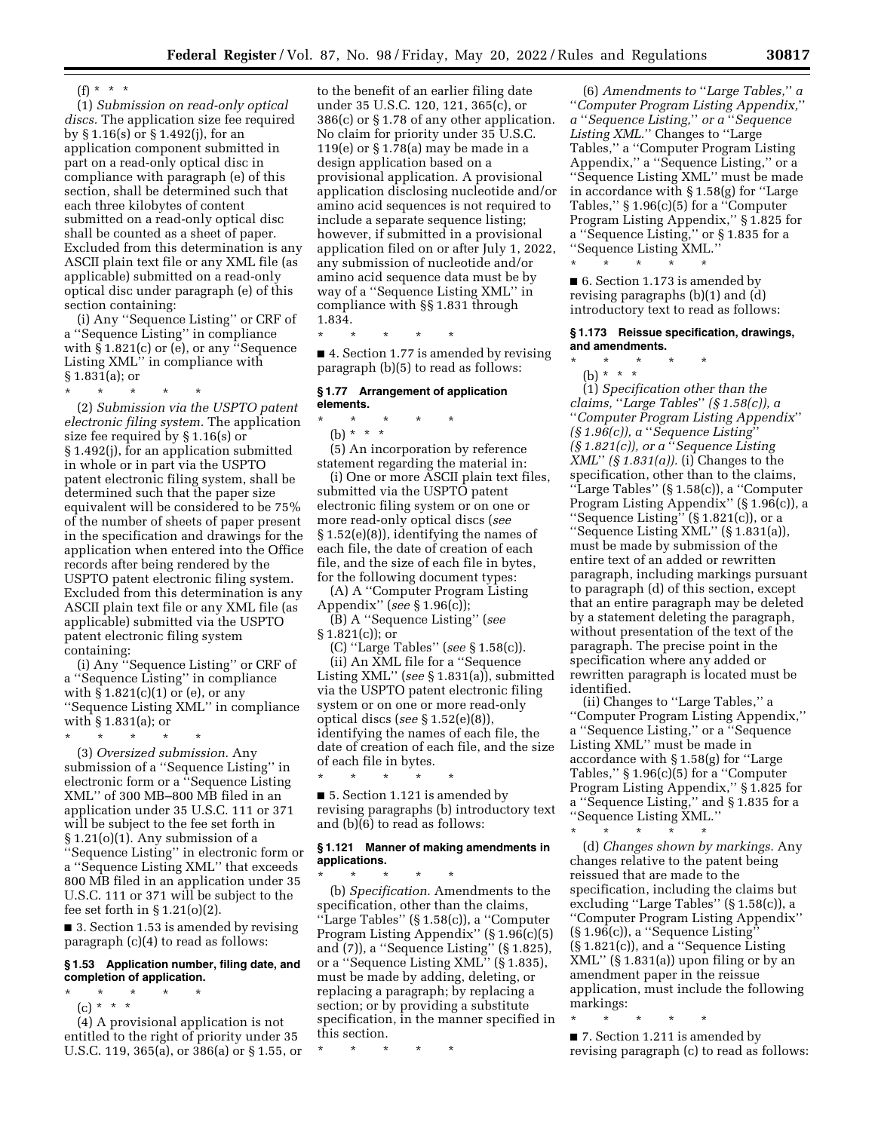$(f) * * * *$ 

(1) *Submission on read-only optical discs.* The application size fee required by § 1.16(s) or § 1.492(j), for an application component submitted in part on a read-only optical disc in compliance with paragraph (e) of this section, shall be determined such that each three kilobytes of content submitted on a read-only optical disc shall be counted as a sheet of paper. Excluded from this determination is any ASCII plain text file or any XML file (as applicable) submitted on a read-only optical disc under paragraph (e) of this section containing:

(i) Any ''Sequence Listing'' or CRF of a ''Sequence Listing'' in compliance with  $\S$  1.821(c) or (e), or any "Sequence Listing XML'' in compliance with § 1.831(a); or

\* \* \* \* \*

(2) *Submission via the USPTO patent electronic filing system.* The application size fee required by § 1.16(s) or § 1.492(j), for an application submitted in whole or in part via the USPTO patent electronic filing system, shall be determined such that the paper size equivalent will be considered to be 75% of the number of sheets of paper present in the specification and drawings for the application when entered into the Office records after being rendered by the USPTO patent electronic filing system. Excluded from this determination is any ASCII plain text file or any XML file (as applicable) submitted via the USPTO patent electronic filing system containing:

(i) Any ''Sequence Listing'' or CRF of a ''Sequence Listing'' in compliance with  $\S 1.821(c)(1)$  or (e), or any ''Sequence Listing XML'' in compliance with § 1.831(a); or

\* \* \* \* \* (3) *Oversized submission.* Any submission of a ''Sequence Listing'' in electronic form or a ''Sequence Listing XML'' of 300 MB–800 MB filed in an application under 35 U.S.C. 111 or 371 will be subject to the fee set forth in § 1.21(o)(1). Any submission of a

''Sequence Listing'' in electronic form or a ''Sequence Listing XML'' that exceeds 800 MB filed in an application under 35 U.S.C. 111 or 371 will be subject to the fee set forth in  $\S 1.21(0)(2)$ .

■ 3. Section 1.53 is amended by revising paragraph (c)(4) to read as follows:

# **§ 1.53 Application number, filing date, and completion of application.**

\* \* \* \* \*

(c) \* \* \* (4) A provisional application is not

entitled to the right of priority under 35 U.S.C. 119, 365(a), or 386(a) or § 1.55, or

to the benefit of an earlier filing date under 35 U.S.C. 120, 121, 365(c), or 386(c) or § 1.78 of any other application. No claim for priority under 35 U.S.C. 119(e) or § 1.78(a) may be made in a design application based on a provisional application. A provisional application disclosing nucleotide and/or amino acid sequences is not required to include a separate sequence listing; however, if submitted in a provisional application filed on or after July 1, 2022, any submission of nucleotide and/or amino acid sequence data must be by way of a ''Sequence Listing XML'' in compliance with §§ 1.831 through 1.834.

\* \* \* \* \*

■ 4. Section 1.77 is amended by revising paragraph (b)(5) to read as follows:

# **§ 1.77 Arrangement of application elements.**

\* \* \* \* \*

(b) \* \* \* (5) An incorporation by reference statement regarding the material in:

(i) One or more ASCII plain text files, submitted via the USPTO patent electronic filing system or on one or more read-only optical discs (*see*  § 1.52(e)(8)), identifying the names of each file, the date of creation of each file, and the size of each file in bytes, for the following document types:

(A) A ''Computer Program Listing Appendix'' (*see* § 1.96(c));

(B) A ''Sequence Listing'' (*see*   $§ 1.821(c)$ ; or

(C) ''Large Tables'' (*see* § 1.58(c)). (ii) An XML file for a ''Sequence Listing XML'' (*see* § 1.831(a)), submitted via the USPTO patent electronic filing system or on one or more read-only optical discs (*see* § 1.52(e)(8)), identifying the names of each file, the date of creation of each file, and the size of each file in bytes.

\* \* \* \* \* ■ 5. Section 1.121 is amended by revising paragraphs (b) introductory text and (b)(6) to read as follows:

## **§ 1.121 Manner of making amendments in applications.**

\* \* \* \* \* (b) *Specification.* Amendments to the specification, other than the claims, ''Large Tables'' (§ 1.58(c)), a ''Computer Program Listing Appendix'' (§ 1.96(c)(5) and (7)), a ''Sequence Listing'' (§ 1.825), or a ''Sequence Listing XML'' (§ 1.835), must be made by adding, deleting, or replacing a paragraph; by replacing a section; or by providing a substitute specification, in the manner specified in this section.

\* \* \* \* \*

(6) *Amendments to* ''*Large Tables,*'' *a*  ''*Computer Program Listing Appendix,*'' *a* ''*Sequence Listing,*'' *or a* ''*Sequence*  Listing XML." Changes to "Large" Tables,'' a ''Computer Program Listing Appendix,'' a ''Sequence Listing,'' or a ''Sequence Listing XML'' must be made in accordance with § 1.58(g) for ''Large Tables,'' § 1.96(c)(5) for a ''Computer Program Listing Appendix,'' § 1.825 for a ''Sequence Listing,'' or § 1.835 for a ''Sequence Listing XML.''

\* \* \* \* \* ■ 6. Section 1.173 is amended by revising paragraphs (b)(1) and (d) introductory text to read as follows:

## **§ 1.173 Reissue specification, drawings, and amendments.**

\* \* \* \* \* (b) \* \* \*

(1) *Specification other than the claims,* ''*Large Tables*'' *(§ 1.58(c)), a*  ''*Computer Program Listing Appendix*'' *(§ 1.96(c)), a* ''*Sequence Listing*'' *(§ 1.821(c)), or a* ''*Sequence Listing XML*'' *(§ 1.831(a)).* (i) Changes to the specification, other than to the claims, ''Large Tables'' (§ 1.58(c)), a ''Computer Program Listing Appendix'' (§ 1.96(c)), a "Sequence Listing"  $(\S 1.821(c))$ , or a ''Sequence Listing XML'' (§ 1.831(a)), must be made by submission of the entire text of an added or rewritten paragraph, including markings pursuant to paragraph (d) of this section, except that an entire paragraph may be deleted by a statement deleting the paragraph, without presentation of the text of the paragraph. The precise point in the specification where any added or rewritten paragraph is located must be identified.

(ii) Changes to ''Large Tables,'' a ''Computer Program Listing Appendix,'' a ''Sequence Listing,'' or a ''Sequence Listing XML'' must be made in accordance with § 1.58(g) for ''Large Tables,"  $§ 1.96(c)(5)$  for a "Computer" Program Listing Appendix,'' § 1.825 for a ''Sequence Listing,'' and § 1.835 for a ''Sequence Listing XML.''

\* \* \* \* \* (d) *Changes shown by markings.* Any changes relative to the patent being reissued that are made to the specification, including the claims but excluding ''Large Tables'' (§ 1.58(c)), a ''Computer Program Listing Appendix'' (§ 1.96(c)), a ''Sequence Listing'' (§ 1.821(c)), and a ''Sequence Listing  $XML''$  (§ 1.831(a)) upon filing or by an amendment paper in the reissue application, must include the following markings:

\* \* \* \* \* ■ 7. Section 1.211 is amended by revising paragraph (c) to read as follows: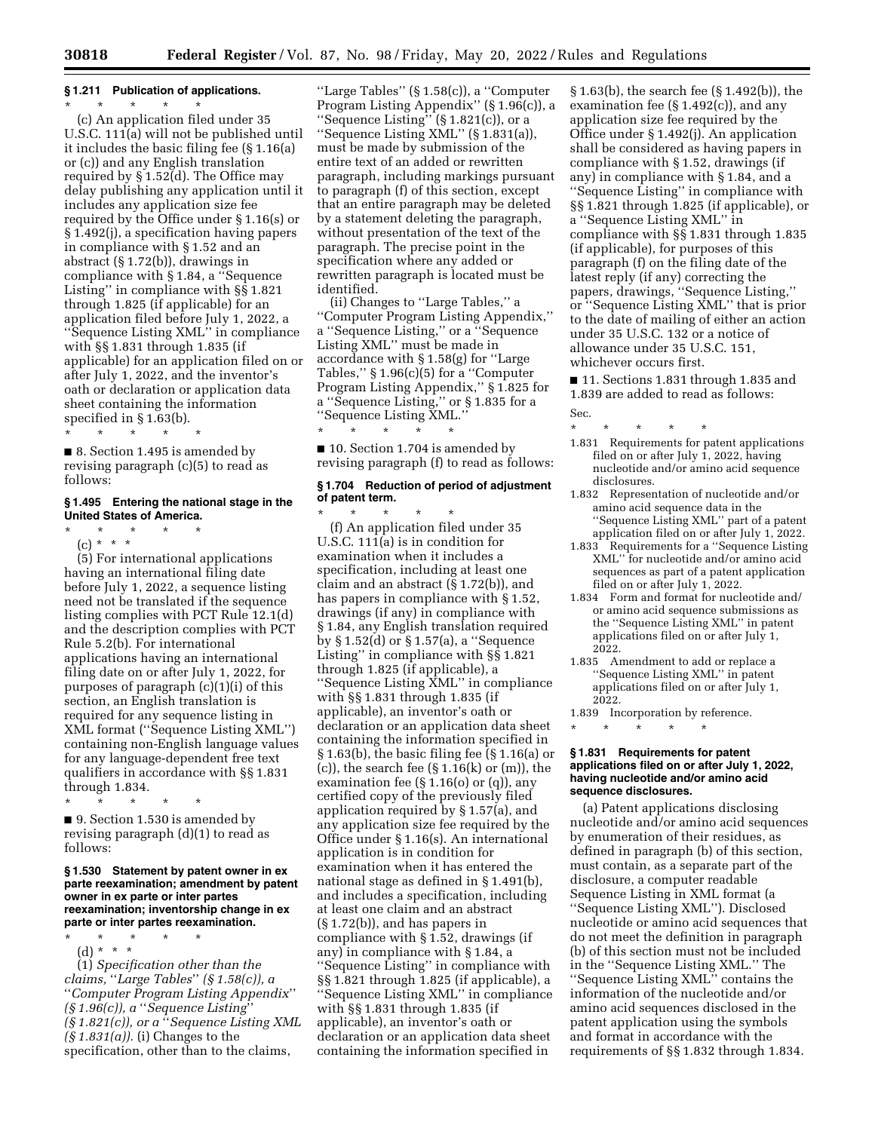# **§ 1.211 Publication of applications.**

\* \* \* \* \* (c) An application filed under 35 U.S.C. 111(a) will not be published until it includes the basic filing fee (§ 1.16(a) or (c)) and any English translation required by § 1.52(d). The Office may delay publishing any application until it includes any application size fee required by the Office under § 1.16(s) or § 1.492(j), a specification having papers in compliance with § 1.52 and an abstract (§ 1.72(b)), drawings in compliance with § 1.84, a ''Sequence Listing'' in compliance with §§ 1.821 through 1.825 (if applicable) for an application filed before July 1, 2022, a ''Sequence Listing XML'' in compliance with §§ 1.831 through 1.835 (if applicable) for an application filed on or after July 1, 2022, and the inventor's oath or declaration or application data sheet containing the information specified in § 1.63(b).

 $\star$   $\star$   $\star$ 

■ 8. Section 1.495 is amended by revising paragraph (c)(5) to read as follows:

## **§ 1.495 Entering the national stage in the United States of America.**

\* \* \* \* \* (c) \* \* \*

(5) For international applications having an international filing date before July 1, 2022, a sequence listing need not be translated if the sequence listing complies with PCT Rule 12.1(d) and the description complies with PCT Rule 5.2(b). For international applications having an international filing date on or after July 1, 2022, for purposes of paragraph (c)(1)(i) of this section, an English translation is required for any sequence listing in XML format (''Sequence Listing XML'') containing non-English language values for any language-dependent free text qualifiers in accordance with §§ 1.831 through 1.834.

\* \* \* \* \* ■ 9. Section 1.530 is amended by revising paragraph (d)(1) to read as follows:

#### **§ 1.530 Statement by patent owner in ex parte reexamination; amendment by patent owner in ex parte or inter partes reexamination; inventorship change in ex parte or inter partes reexamination.**

\* \* \* \* \*

(d) \* \* \*

(1) *Specification other than the claims,* ''*Large Tables*'' *(§ 1.58(c)), a*  ''*Computer Program Listing Appendix*'' *(§ 1.96(c)), a* ''*Sequence Listing*'' *(§ 1.821(c)), or a* ''*Sequence Listing XML (§ 1.831(a)).* (i) Changes to the specification, other than to the claims,

''Large Tables'' (§ 1.58(c)), a ''Computer Program Listing Appendix'' (§ 1.96(c)), a ''Sequence Listing'' (§ 1.821(c)), or a ''Sequence Listing XML'' (§ 1.831(a)), must be made by submission of the entire text of an added or rewritten paragraph, including markings pursuant to paragraph (f) of this section, except that an entire paragraph may be deleted by a statement deleting the paragraph, without presentation of the text of the paragraph. The precise point in the specification where any added or rewritten paragraph is located must be identified.

(ii) Changes to ''Large Tables,'' a ''Computer Program Listing Appendix,'' a ''Sequence Listing,'' or a ''Sequence Listing XML'' must be made in accordance with § 1.58(g) for ''Large Tables,'' § 1.96(c)(5) for a ''Computer Program Listing Appendix,'' § 1.825 for a ''Sequence Listing,'' or § 1.835 for a ''Sequence Listing XML.''

■ 10. Section 1.704 is amended by revising paragraph (f) to read as follows:

\* \* \* \* \*

# **§ 1.704 Reduction of period of adjustment of patent term.**

\* \* \* \* \* (f) An application filed under 35 U.S.C. 111(a) is in condition for examination when it includes a specification, including at least one claim and an abstract (§ 1.72(b)), and has papers in compliance with § 1.52, drawings (if any) in compliance with § 1.84, any English translation required by § 1.52(d) or § 1.57(a), a ''Sequence Listing'' in compliance with §§ 1.821 through 1.825 (if applicable), a ''Sequence Listing XML'' in compliance with §§ 1.831 through 1.835 (if applicable), an inventor's oath or declaration or an application data sheet containing the information specified in § 1.63(b), the basic filing fee (§ 1.16(a) or  $(c)$ , the search fee  $(\S 1.16(k) \text{ or } (m))$ , the examination fee  $(\S 1.16(0)$  or  $(q)$ ), any certified copy of the previously filed application required by § 1.57(a), and any application size fee required by the Office under § 1.16(s). An international application is in condition for examination when it has entered the national stage as defined in § 1.491(b), and includes a specification, including at least one claim and an abstract (§ 1.72(b)), and has papers in compliance with § 1.52, drawings (if any) in compliance with § 1.84, a ''Sequence Listing'' in compliance with §§ 1.821 through 1.825 (if applicable), a ''Sequence Listing XML'' in compliance with §§ 1.831 through 1.835 (if applicable), an inventor's oath or declaration or an application data sheet containing the information specified in

§ 1.63(b), the search fee (§ 1.492(b)), the examination fee  $(S 1.492(c))$ , and any application size fee required by the Office under § 1.492(j). An application shall be considered as having papers in compliance with § 1.52, drawings (if any) in compliance with § 1.84, and a ''Sequence Listing'' in compliance with §§ 1.821 through 1.825 (if applicable), or a ''Sequence Listing XML'' in compliance with §§ 1.831 through 1.835 (if applicable), for purposes of this paragraph (f) on the filing date of the latest reply (if any) correcting the papers, drawings, ''Sequence Listing,'' or ''Sequence Listing XML'' that is prior to the date of mailing of either an action under 35 U.S.C. 132 or a notice of allowance under 35 U.S.C. 151, whichever occurs first.

■ 11. Sections 1.831 through 1.835 and 1.839 are added to read as follows: Sec.

- \* \* \* \* \*
- 1.831 Requirements for patent applications filed on or after July 1, 2022, having nucleotide and/or amino acid sequence disclosures.
- 1.832 Representation of nucleotide and/or amino acid sequence data in the ''Sequence Listing XML'' part of a patent application filed on or after July 1, 2022.
- 1.833 Requirements for a ''Sequence Listing XML'' for nucleotide and/or amino acid sequences as part of a patent application filed on or after July 1, 2022.
- 1.834 Form and format for nucleotide and/ or amino acid sequence submissions as the ''Sequence Listing XML'' in patent applications filed on or after July 1, 2022.
- 1.835 Amendment to add or replace a ''Sequence Listing XML'' in patent applications filed on or after July 1, 2022.

1.839 Incorporation by reference. <br>  $\star$   $\quad$   $\star$   $\quad$   $\star$   $\quad$   $\star$ \* \* \* \* \*

#### **§ 1.831 Requirements for patent applications filed on or after July 1, 2022, having nucleotide and/or amino acid sequence disclosures.**

(a) Patent applications disclosing nucleotide and/or amino acid sequences by enumeration of their residues, as defined in paragraph (b) of this section, must contain, as a separate part of the disclosure, a computer readable Sequence Listing in XML format (a ''Sequence Listing XML''). Disclosed nucleotide or amino acid sequences that do not meet the definition in paragraph (b) of this section must not be included in the ''Sequence Listing XML.'' The ''Sequence Listing XML'' contains the information of the nucleotide and/or amino acid sequences disclosed in the patent application using the symbols and format in accordance with the requirements of §§ 1.832 through 1.834.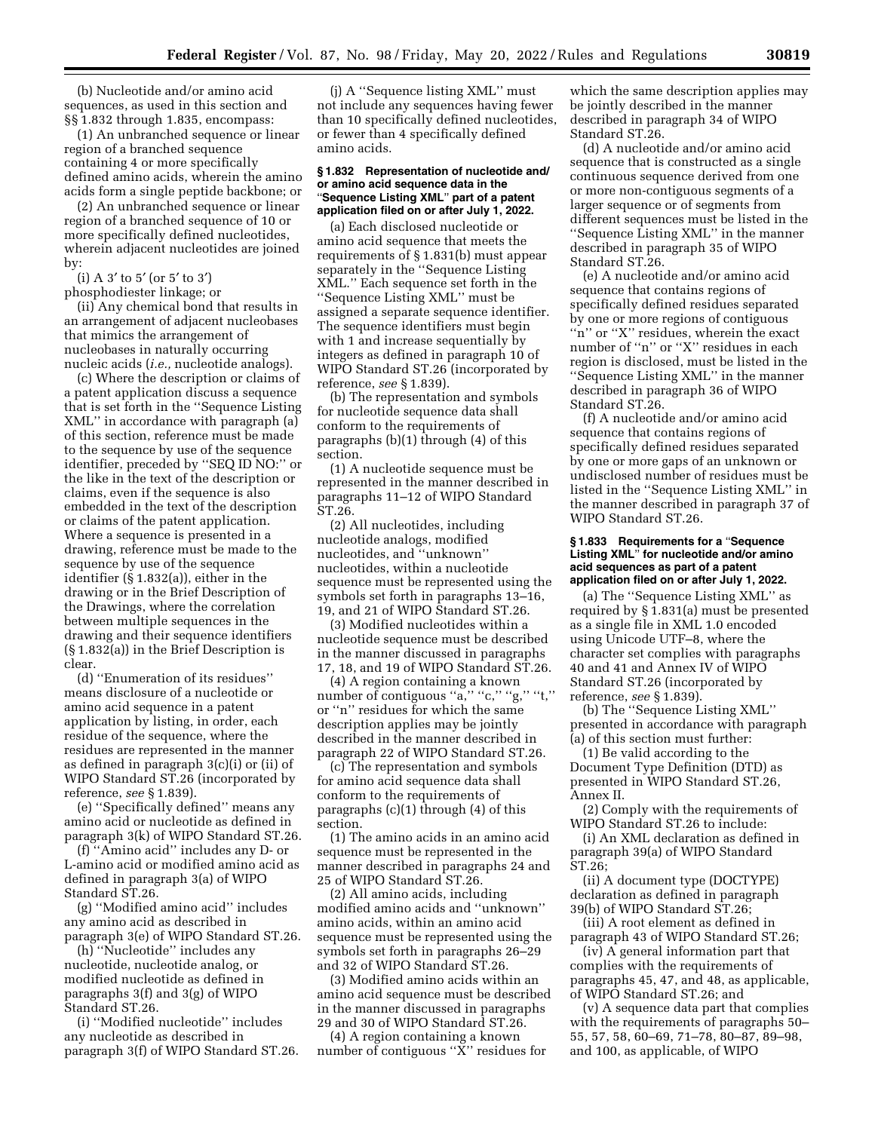(b) Nucleotide and/or amino acid sequences, as used in this section and §§ 1.832 through 1.835, encompass:

(1) An unbranched sequence or linear region of a branched sequence containing 4 or more specifically defined amino acids, wherein the amino acids form a single peptide backbone; or

(2) An unbranched sequence or linear region of a branched sequence of 10 or more specifically defined nucleotides, wherein adjacent nucleotides are joined by:

(i) A 3′ to 5′ (or 5′ to 3′)

phosphodiester linkage; or

(ii) Any chemical bond that results in an arrangement of adjacent nucleobases that mimics the arrangement of nucleobases in naturally occurring nucleic acids (*i.e.,* nucleotide analogs).

(c) Where the description or claims of a patent application discuss a sequence that is set forth in the ''Sequence Listing XML'' in accordance with paragraph (a) of this section, reference must be made to the sequence by use of the sequence identifier, preceded by ''SEQ ID NO:'' or the like in the text of the description or claims, even if the sequence is also embedded in the text of the description or claims of the patent application. Where a sequence is presented in a drawing, reference must be made to the sequence by use of the sequence identifier (§ 1.832(a)), either in the drawing or in the Brief Description of the Drawings, where the correlation between multiple sequences in the drawing and their sequence identifiers (§ 1.832(a)) in the Brief Description is clear.

(d) ''Enumeration of its residues'' means disclosure of a nucleotide or amino acid sequence in a patent application by listing, in order, each residue of the sequence, where the residues are represented in the manner as defined in paragraph 3(c)(i) or (ii) of WIPO Standard ST.26 (incorporated by reference, *see* § 1.839).

(e) ''Specifically defined'' means any amino acid or nucleotide as defined in paragraph 3(k) of WIPO Standard ST.26.

(f) ''Amino acid'' includes any D- or L-amino acid or modified amino acid as defined in paragraph 3(a) of WIPO Standard ST.26.

(g) ''Modified amino acid'' includes any amino acid as described in paragraph 3(e) of WIPO Standard ST.26.

(h) ''Nucleotide'' includes any nucleotide, nucleotide analog, or modified nucleotide as defined in paragraphs 3(f) and 3(g) of WIPO Standard ST.26.

(i) ''Modified nucleotide'' includes any nucleotide as described in paragraph 3(f) of WIPO Standard ST.26.

(j) A ''Sequence listing XML'' must not include any sequences having fewer than 10 specifically defined nucleotides, or fewer than 4 specifically defined amino acids.

#### **§ 1.832 Representation of nucleotide and/ or amino acid sequence data in the**  ''**Sequence Listing XML**'' **part of a patent application filed on or after July 1, 2022.**

(a) Each disclosed nucleotide or amino acid sequence that meets the requirements of § 1.831(b) must appear separately in the ''Sequence Listing XML.'' Each sequence set forth in the ''Sequence Listing XML'' must be assigned a separate sequence identifier. The sequence identifiers must begin with 1 and increase sequentially by integers as defined in paragraph 10 of WIPO Standard ST.26 (incorporated by reference, *see* § 1.839).

(b) The representation and symbols for nucleotide sequence data shall conform to the requirements of paragraphs (b)(1) through (4) of this section.

(1) A nucleotide sequence must be represented in the manner described in paragraphs 11–12 of WIPO Standard ST.26.

(2) All nucleotides, including nucleotide analogs, modified nucleotides, and ''unknown'' nucleotides, within a nucleotide sequence must be represented using the symbols set forth in paragraphs 13–16, 19, and 21 of WIPO Standard ST.26.

(3) Modified nucleotides within a nucleotide sequence must be described in the manner discussed in paragraphs 17, 18, and 19 of WIPO Standard ST.26.

(4) A region containing a known number of contiguous "a," "c," "g," "t," or ''n'' residues for which the same description applies may be jointly described in the manner described in paragraph 22 of WIPO Standard ST.26.

(c) The representation and symbols for amino acid sequence data shall conform to the requirements of paragraphs (c)(1) through (4) of this section.

(1) The amino acids in an amino acid sequence must be represented in the manner described in paragraphs 24 and 25 of WIPO Standard ST.26.

(2) All amino acids, including modified amino acids and ''unknown'' amino acids, within an amino acid sequence must be represented using the symbols set forth in paragraphs 26–29 and 32 of WIPO Standard ST.26.

(3) Modified amino acids within an amino acid sequence must be described in the manner discussed in paragraphs 29 and 30 of WIPO Standard ST.26.

(4) A region containing a known number of contiguous ''X'' residues for

which the same description applies may be jointly described in the manner described in paragraph 34 of WIPO Standard ST.26.

(d) A nucleotide and/or amino acid sequence that is constructed as a single continuous sequence derived from one or more non-contiguous segments of a larger sequence or of segments from different sequences must be listed in the ''Sequence Listing XML'' in the manner described in paragraph 35 of WIPO Standard ST.26.

(e) A nucleotide and/or amino acid sequence that contains regions of specifically defined residues separated by one or more regions of contiguous "n" or "X" residues, wherein the exact number of ''n'' or ''X'' residues in each region is disclosed, must be listed in the ''Sequence Listing XML'' in the manner described in paragraph 36 of WIPO Standard ST.26.

(f) A nucleotide and/or amino acid sequence that contains regions of specifically defined residues separated by one or more gaps of an unknown or undisclosed number of residues must be listed in the ''Sequence Listing XML'' in the manner described in paragraph 37 of WIPO Standard ST.26.

#### **§ 1.833 Requirements for a** ''**Sequence Listing XML**'' **for nucleotide and/or amino acid sequences as part of a patent application filed on or after July 1, 2022.**

(a) The ''Sequence Listing XML'' as required by § 1.831(a) must be presented as a single file in XML 1.0 encoded using Unicode UTF–8, where the character set complies with paragraphs 40 and 41 and Annex IV of WIPO Standard ST.26 (incorporated by reference, *see* § 1.839).

(b) The ''Sequence Listing XML'' presented in accordance with paragraph (a) of this section must further:

(1) Be valid according to the Document Type Definition (DTD) as presented in WIPO Standard ST.26, Annex II.

(2) Comply with the requirements of WIPO Standard ST.26 to include:

(i) An XML declaration as defined in paragraph 39(a) of WIPO Standard ST.26;

(ii) A document type (DOCTYPE) declaration as defined in paragraph 39(b) of WIPO Standard ST.26;

(iii) A root element as defined in paragraph 43 of WIPO Standard ST.26;

(iv) A general information part that complies with the requirements of paragraphs 45, 47, and 48, as applicable, of WIPO Standard ST.26; and

(v) A sequence data part that complies with the requirements of paragraphs 50– 55, 57, 58, 60–69, 71–78, 80–87, 89–98, and 100, as applicable, of WIPO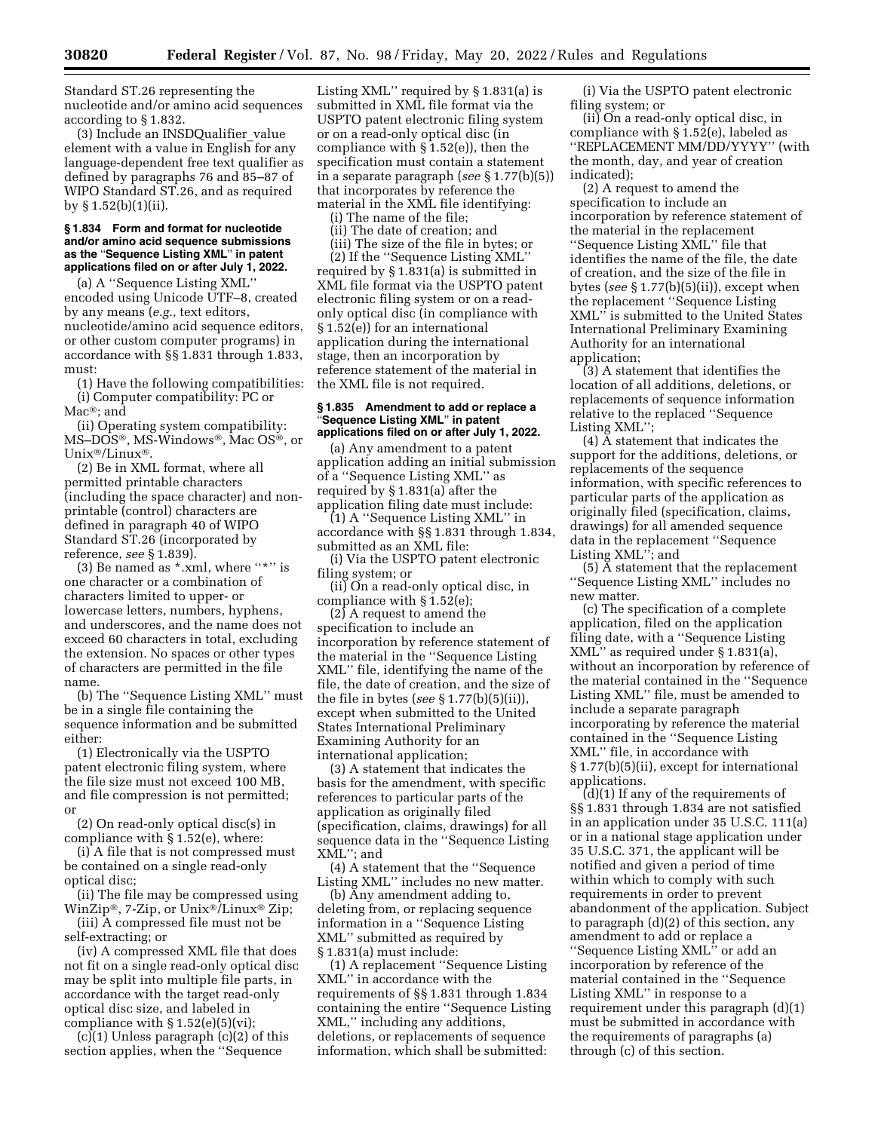Standard ST.26 representing the nucleotide and/or amino acid sequences according to § 1.832.

(3) Include an INSDQualifier\_value element with a value in English for any language-dependent free text qualifier as defined by paragraphs 76 and 85–87 of WIPO Standard ST.26, and as required by § 1.52(b)(1)(ii).

#### **§ 1.834 Form and format for nucleotide and/or amino acid sequence submissions as the** ''**Sequence Listing XML**'' **in patent applications filed on or after July 1, 2022.**

(a) A ''Sequence Listing XML'' encoded using Unicode UTF–8, created by any means (*e.g.,* text editors, nucleotide/amino acid sequence editors, or other custom computer programs) in accordance with §§ 1.831 through 1.833, must:

(1) Have the following compatibilities: (i) Computer compatibility: PC or Mac®; and

(ii) Operating system compatibility: MS–DOS®, MS-Windows®, Mac OS®, or Unix®/Linux®.

(2) Be in XML format, where all permitted printable characters (including the space character) and nonprintable (control) characters are defined in paragraph 40 of WIPO Standard ST.26 (incorporated by reference, *see* § 1.839).

(3) Be named as  $*$ .xml, where "\*" is one character or a combination of characters limited to upper- or lowercase letters, numbers, hyphens, and underscores, and the name does not exceed 60 characters in total, excluding the extension. No spaces or other types of characters are permitted in the file name.

(b) The ''Sequence Listing XML'' must be in a single file containing the sequence information and be submitted either:

(1) Electronically via the USPTO patent electronic filing system, where the file size must not exceed 100 MB, and file compression is not permitted; or

(2) On read-only optical disc(s) in compliance with § 1.52(e), where:

(i) A file that is not compressed must be contained on a single read-only optical disc;

(ii) The file may be compressed using WinZip®, 7-Zip, or Unix®/Linux® Zip; (iii) A compressed file must not be

self-extracting; or

(iv) A compressed XML file that does not fit on a single read-only optical disc may be split into multiple file parts, in accordance with the target read-only optical disc size, and labeled in compliance with  $\S 1.52(e)(5)(vi)$ ;

 $(c)(1)$  Unless paragraph  $(c)(2)$  of this section applies, when the ''Sequence

Listing XML'' required by § 1.831(a) is submitted in XML file format via the USPTO patent electronic filing system or on a read-only optical disc (in compliance with § 1.52(e)), then the specification must contain a statement in a separate paragraph (*see* § 1.77(b)(5)) that incorporates by reference the material in the XML file identifying:

(i) The name of the file;

(ii) The date of creation; and

(iii) The size of the file in bytes; or

(2) If the ''Sequence Listing XML'' required by § 1.831(a) is submitted in XML file format via the USPTO patent electronic filing system or on a readonly optical disc (in compliance with § 1.52(e)) for an international application during the international stage, then an incorporation by reference statement of the material in the XML file is not required.

#### **§ 1.835 Amendment to add or replace a**  ''**Sequence Listing XML**'' **in patent applications filed on or after July 1, 2022.**

(a) Any amendment to a patent application adding an initial submission of a ''Sequence Listing XML'' as required by § 1.831(a) after the application filing date must include:

(1) A ''Sequence Listing XML'' in accordance with §§ 1.831 through 1.834, submitted as an XML file:

(i) Via the USPTO patent electronic filing system; or

(ii) On a read-only optical disc, in compliance with § 1.52(e);

 $(2)$  A request to amend the specification to include an incorporation by reference statement of the material in the ''Sequence Listing XML'' file, identifying the name of the file, the date of creation, and the size of the file in bytes (*see* § 1.77(b)(5)(ii)), except when submitted to the United States International Preliminary Examining Authority for an international application;

(3) A statement that indicates the basis for the amendment, with specific references to particular parts of the application as originally filed (specification, claims, drawings) for all sequence data in the ''Sequence Listing XML''; and

(4) A statement that the ''Sequence Listing XML'' includes no new matter.

(b) Any amendment adding to, deleting from, or replacing sequence information in a ''Sequence Listing XML'' submitted as required by § 1.831(a) must include:

(1) A replacement ''Sequence Listing XML'' in accordance with the requirements of §§ 1.831 through 1.834 containing the entire ''Sequence Listing XML,'' including any additions, deletions, or replacements of sequence information, which shall be submitted:

(i) Via the USPTO patent electronic filing system; or

(ii) On a read-only optical disc, in compliance with § 1.52(e), labeled as ''REPLACEMENT MM/DD/YYYY'' (with the month, day, and year of creation indicated);

(2) A request to amend the specification to include an incorporation by reference statement of the material in the replacement ''Sequence Listing XML'' file that identifies the name of the file, the date of creation, and the size of the file in bytes (*see* § 1.77(b)(5)(ii)), except when the replacement ''Sequence Listing XML'' is submitted to the United States International Preliminary Examining Authority for an international application;

(3) A statement that identifies the location of all additions, deletions, or replacements of sequence information relative to the replaced ''Sequence Listing XML'';

(4) A statement that indicates the support for the additions, deletions, or replacements of the sequence information, with specific references to particular parts of the application as originally filed (specification, claims, drawings) for all amended sequence data in the replacement ''Sequence Listing XML''; and

(5) A statement that the replacement ''Sequence Listing XML'' includes no new matter.

(c) The specification of a complete application, filed on the application filing date, with a ''Sequence Listing XML'' as required under § 1.831(a), without an incorporation by reference of the material contained in the ''Sequence Listing XML'' file, must be amended to include a separate paragraph incorporating by reference the material contained in the ''Sequence Listing XML'' file, in accordance with § 1.77(b)(5)(ii), except for international applications.

(d)(1) If any of the requirements of §§ 1.831 through 1.834 are not satisfied in an application under 35 U.S.C. 111(a) or in a national stage application under 35 U.S.C. 371, the applicant will be notified and given a period of time within which to comply with such requirements in order to prevent abandonment of the application. Subject to paragraph (d)(2) of this section, any amendment to add or replace a ''Sequence Listing XML'' or add an incorporation by reference of the material contained in the ''Sequence Listing XML'' in response to a requirement under this paragraph (d)(1) must be submitted in accordance with the requirements of paragraphs (a) through (c) of this section.